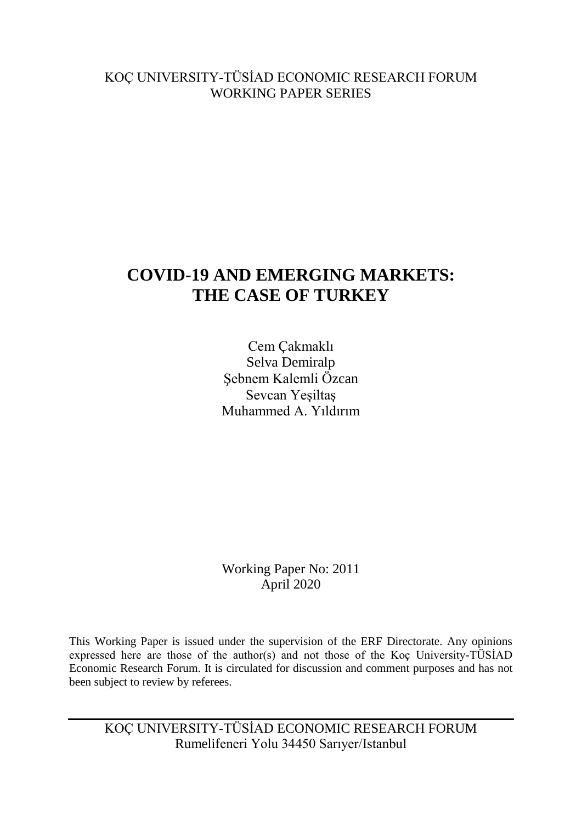# KOÇ UNIVERSITY-TÜSİAD ECONOMIC RESEARCH FORUM WORKING PAPER SERIES

# **COVID-19 AND EMERGING MARKETS: THE CASE OF TURKEY**

Cem Çakmaklı Selva Demiralp Şebnem Kalemli Özcan Sevcan Yeşiltaş Muhammed A. Yıldırım

Working Paper No: 2011 April 2020

This Working Paper is issued under the supervision of the ERF Directorate. Any opinions expressed here are those of the author(s) and not those of the Koç University-TÜSİAD Economic Research Forum. It is circulated for discussion and comment purposes and has not been subject to review by referees.

KOÇ UNIVERSITY-TÜSİAD ECONOMIC RESEARCH FORUM Rumelifeneri Yolu 34450 Sarıyer/Istanbul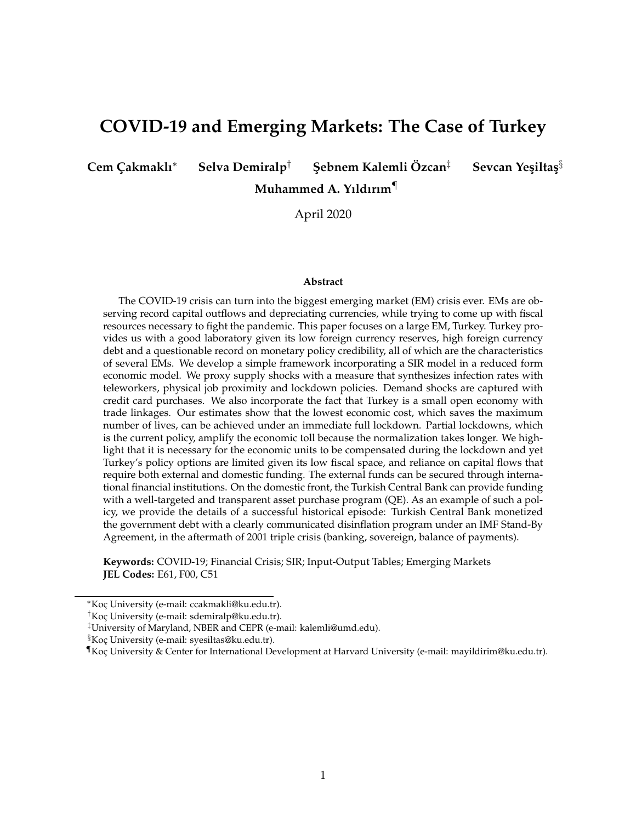# **COVID-19 and Emerging Markets: The Case of Turkey**

**Cem Çakmaklı<sup>∗</sup> Selva Demiralp<sup>†</sup> Şebnem Kalemli Özcan<sup>‡</sup> Sevcan Yesiltas<sup>§</sup>** 

**Muhammed A. Yıldırım**¶

April 2020

#### **Abstract**

The COVID-19 crisis can turn into the biggest emerging market (EM) crisis ever. EMs are observing record capital outflows and depreciating currencies, while trying to come up with fiscal resources necessary to fight the pandemic. This paper focuses on a large EM, Turkey. Turkey provides us with a good laboratory given its low foreign currency reserves, high foreign currency debt and a questionable record on monetary policy credibility, all of which are the characteristics of several EMs. We develop a simple framework incorporating a SIR model in a reduced form economic model. We proxy supply shocks with a measure that synthesizes infection rates with teleworkers, physical job proximity and lockdown policies. Demand shocks are captured with credit card purchases. We also incorporate the fact that Turkey is a small open economy with trade linkages. Our estimates show that the lowest economic cost, which saves the maximum number of lives, can be achieved under an immediate full lockdown. Partial lockdowns, which is the current policy, amplify the economic toll because the normalization takes longer. We highlight that it is necessary for the economic units to be compensated during the lockdown and yet Turkey's policy options are limited given its low fiscal space, and reliance on capital flows that require both external and domestic funding. The external funds can be secured through international financial institutions. On the domestic front, the Turkish Central Bank can provide funding with a well-targeted and transparent asset purchase program (QE). As an example of such a policy, we provide the details of a successful historical episode: Turkish Central Bank monetized the government debt with a clearly communicated disinflation program under an IMF Stand-By Agreement, in the aftermath of 2001 triple crisis (banking, sovereign, balance of payments).

**Keywords:** COVID-19; Financial Crisis; SIR; Input-Output Tables; Emerging Markets **JEL Codes:** E61, F00, C51

<sup>∗</sup>Koc¸ University (e-mail: ccakmakli@ku.edu.tr).

<sup>†</sup>Koc¸ University (e-mail: sdemiralp@ku.edu.tr).

<sup>‡</sup>University of Maryland, NBER and CEPR (e-mail: kalemli@umd.edu).

<sup>&</sup>lt;sup>§</sup>Koç University (e-mail: syesiltas@ku.edu.tr).

<sup>¶</sup>Koc¸ University & Center for International Development at Harvard University (e-mail: mayildirim@ku.edu.tr).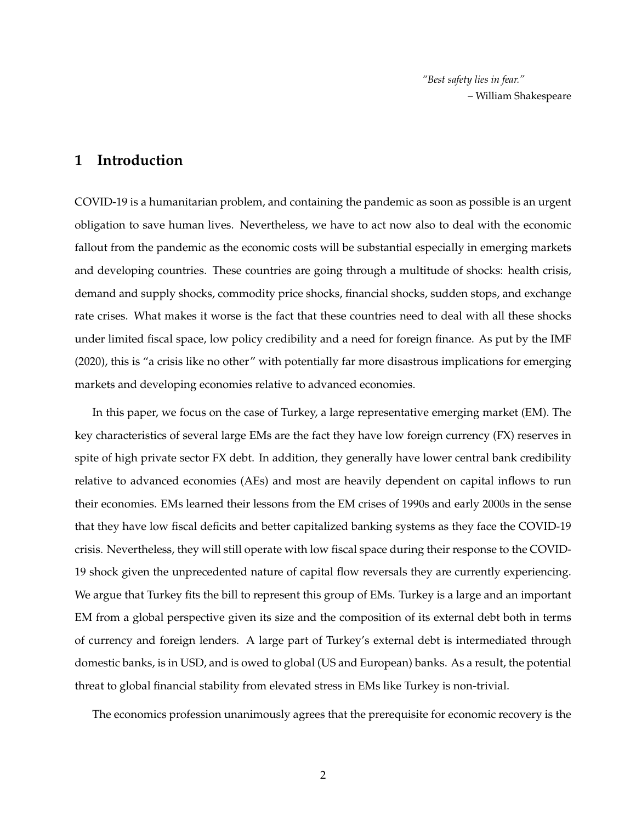*"Best safety lies in fear."* – William Shakespeare

# **1 Introduction**

COVID-19 is a humanitarian problem, and containing the pandemic as soon as possible is an urgent obligation to save human lives. Nevertheless, we have to act now also to deal with the economic fallout from the pandemic as the economic costs will be substantial especially in emerging markets and developing countries. These countries are going through a multitude of shocks: health crisis, demand and supply shocks, commodity price shocks, financial shocks, sudden stops, and exchange rate crises. What makes it worse is the fact that these countries need to deal with all these shocks under limited fiscal space, low policy credibility and a need for foreign finance. As put by the IMF (2020), this is "a crisis like no other" with potentially far more disastrous implications for emerging markets and developing economies relative to advanced economies.

In this paper, we focus on the case of Turkey, a large representative emerging market (EM). The key characteristics of several large EMs are the fact they have low foreign currency (FX) reserves in spite of high private sector FX debt. In addition, they generally have lower central bank credibility relative to advanced economies (AEs) and most are heavily dependent on capital inflows to run their economies. EMs learned their lessons from the EM crises of 1990s and early 2000s in the sense that they have low fiscal deficits and better capitalized banking systems as they face the COVID-19 crisis. Nevertheless, they will still operate with low fiscal space during their response to the COVID-19 shock given the unprecedented nature of capital flow reversals they are currently experiencing. We argue that Turkey fits the bill to represent this group of EMs. Turkey is a large and an important EM from a global perspective given its size and the composition of its external debt both in terms of currency and foreign lenders. A large part of Turkey's external debt is intermediated through domestic banks, is in USD, and is owed to global (US and European) banks. As a result, the potential threat to global financial stability from elevated stress in EMs like Turkey is non-trivial.

The economics profession unanimously agrees that the prerequisite for economic recovery is the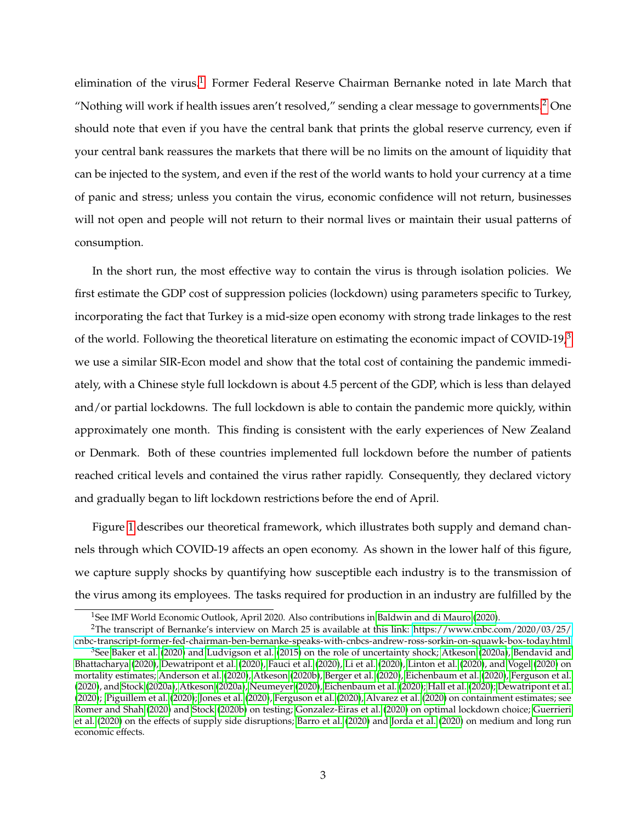elimination of the virus.<sup>[1](#page-3-0)</sup> Former Federal Reserve Chairman Bernanke noted in late March that "Nothing will work if health issues aren't resolved," sending a clear message to governments. $2$  One should note that even if you have the central bank that prints the global reserve currency, even if your central bank reassures the markets that there will be no limits on the amount of liquidity that can be injected to the system, and even if the rest of the world wants to hold your currency at a time of panic and stress; unless you contain the virus, economic confidence will not return, businesses will not open and people will not return to their normal lives or maintain their usual patterns of consumption.

In the short run, the most effective way to contain the virus is through isolation policies. We first estimate the GDP cost of suppression policies (lockdown) using parameters specific to Turkey, incorporating the fact that Turkey is a mid-size open economy with strong trade linkages to the rest of the world. Following the theoretical literature on estimating the economic impact of COVID-19 $^3$  $^3$ we use a similar SIR-Econ model and show that the total cost of containing the pandemic immediately, with a Chinese style full lockdown is about 4.5 percent of the GDP, which is less than delayed and/or partial lockdowns. The full lockdown is able to contain the pandemic more quickly, within approximately one month. This finding is consistent with the early experiences of New Zealand or Denmark. Both of these countries implemented full lockdown before the number of patients reached critical levels and contained the virus rather rapidly. Consequently, they declared victory and gradually began to lift lockdown restrictions before the end of April.

Figure [1](#page-4-0) describes our theoretical framework, which illustrates both supply and demand channels through which COVID-19 affects an open economy. As shown in the lower half of this figure, we capture supply shocks by quantifying how susceptible each industry is to the transmission of the virus among its employees. The tasks required for production in an industry are fulfilled by the

<span id="page-3-1"></span><span id="page-3-0"></span><sup>&</sup>lt;sup>1</sup>See IMF World Economic Outlook, April 2020. Also contributions in [Baldwin and di Mauro](#page-40-0) [\(2020\)](#page-40-0).

<sup>2</sup>The transcript of Bernanke's interview on March 25 is available at this link: [https://www.cnbc.com/2020/03/25/](https://www.cnbc.com/2020/03/25/cnbc-transcript-former-fed-chairman-ben-bernanke-speaks-with-cnbcs-andrew-ross-sorkin-on-squawk-box-today.html) [cnbc-transcript-former-fed-chairman-ben-bernanke-speaks-with-cnbcs-andrew-ross-sorkin-on-squawk-box-today.html](https://www.cnbc.com/2020/03/25/cnbc-transcript-former-fed-chairman-ben-bernanke-speaks-with-cnbcs-andrew-ross-sorkin-on-squawk-box-today.html)

<span id="page-3-2"></span> $3$ See [Baker et al.](#page-40-1) [\(2020\)](#page-40-1) and [Ludvigson et al.](#page-41-0) [\(2015\)](#page-41-0) on the role of uncertainty shock; [Atkeson](#page-40-2) [\(2020a\)](#page-40-2), [Bendavid and](#page-40-3) [Bhattacharya](#page-40-3) [\(2020\)](#page-40-3), [Dewatripont et al.](#page-40-4) [\(2020\)](#page-40-4), [Fauci et al.](#page-41-1) [\(2020\)](#page-41-1), [Li et al.](#page-41-2) [\(2020\)](#page-41-2), [Linton et al.](#page-41-3) [\(2020\)](#page-41-3), and [Vogel](#page-42-0) [\(2020\)](#page-42-0) on mortality estimates; [Anderson et al.](#page-40-5) [\(2020\)](#page-40-5), [Atkeson](#page-40-6) [\(2020b\)](#page-40-6), [Berger et al.](#page-40-7) [\(2020\)](#page-40-7), [Eichenbaum et al.](#page-41-4) [\(2020\)](#page-41-4), [Ferguson et al.](#page-41-5) [\(2020\)](#page-41-5), and [Stock](#page-42-1) [\(2020a\)](#page-42-1), [Atkeson](#page-40-2) [\(2020a\)](#page-40-2), [Neumeyer](#page-42-2) [\(2020\)](#page-42-2), [Eichenbaum et al.](#page-41-4) [\(2020\)](#page-41-4); [Hall et al.](#page-41-6) [\(2020\)](#page-41-6); [Dewatripont et al.](#page-40-4) [\(2020\)](#page-40-4); [,Piguillem et al.](#page-42-3) [\(2020\)](#page-42-3); [Jones et al.](#page-41-7) [\(2020\)](#page-41-7), [Ferguson et al.](#page-41-5) [\(2020\)](#page-41-5), [Alvarez et al.](#page-40-8) [\(2020\)](#page-40-8) on containment estimates; see [Romer and Shah](#page-42-4) [\(2020\)](#page-42-4) and [Stock](#page-42-5) [\(2020b\)](#page-42-5) on testing; [Gonzalez-Eiras et al.](#page-41-8) [\(2020\)](#page-41-8) on optimal lockdown choice; [Guerrieri](#page-41-9) [et al.](#page-41-9) [\(2020\)](#page-41-9) on the effects of supply side disruptions; [Barro et al.](#page-40-9) [\(2020\)](#page-40-9) and [Jorda et al.](#page-41-10) [\(2020\)](#page-41-10) on medium and long run economic effects.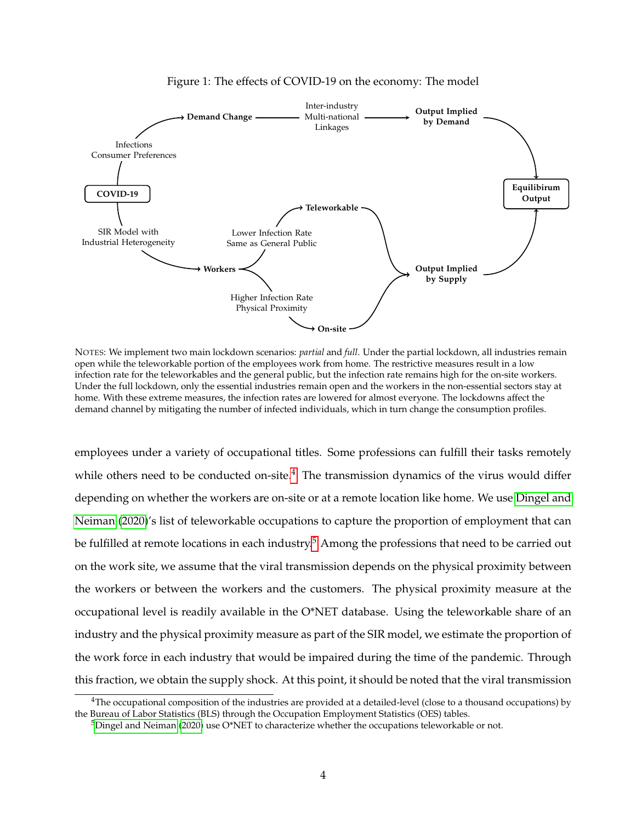

<span id="page-4-0"></span>

NOTES: We implement two main lockdown scenarios: *partial* and *full*. Under the partial lockdown, all industries remain open while the teleworkable portion of the employees work from home. The restrictive measures result in a low infection rate for the teleworkables and the general public, but the infection rate remains high for the on-site workers. Under the full lockdown, only the essential industries remain open and the workers in the non-essential sectors stay at home. With these extreme measures, the infection rates are lowered for almost everyone. The lockdowns affect the demand channel by mitigating the number of infected individuals, which in turn change the consumption profiles.

employees under a variety of occupational titles. Some professions can fulfill their tasks remotely while others need to be conducted on-site.<sup>[4](#page-4-1)</sup> The transmission dynamics of the virus would differ depending on whether the workers are on-site or at a remote location like home. We use [Dingel and](#page-41-11) [Neiman](#page-41-11) [\(2020\)](#page-41-11)'s list of teleworkable occupations to capture the proportion of employment that can be fulfilled at remote locations in each industry.<sup>[5](#page-4-2)</sup> Among the professions that need to be carried out on the work site, we assume that the viral transmission depends on the physical proximity between the workers or between the workers and the customers. The physical proximity measure at the occupational level is readily available in the O\*NET database. Using the teleworkable share of an industry and the physical proximity measure as part of the SIR model, we estimate the proportion of the work force in each industry that would be impaired during the time of the pandemic. Through this fraction, we obtain the supply shock. At this point, it should be noted that the viral transmission

<span id="page-4-1"></span> $4$ The occupational composition of the industries are provided at a detailed-level (close to a thousand occupations) by the Bureau of Labor Statistics (BLS) through the Occupation Employment Statistics (OES) tables.

<span id="page-4-2"></span> $5$ [Dingel and Neiman](#page-41-11) [\(2020\)](#page-41-11) use O\*NET to characterize whether the occupations teleworkable or not.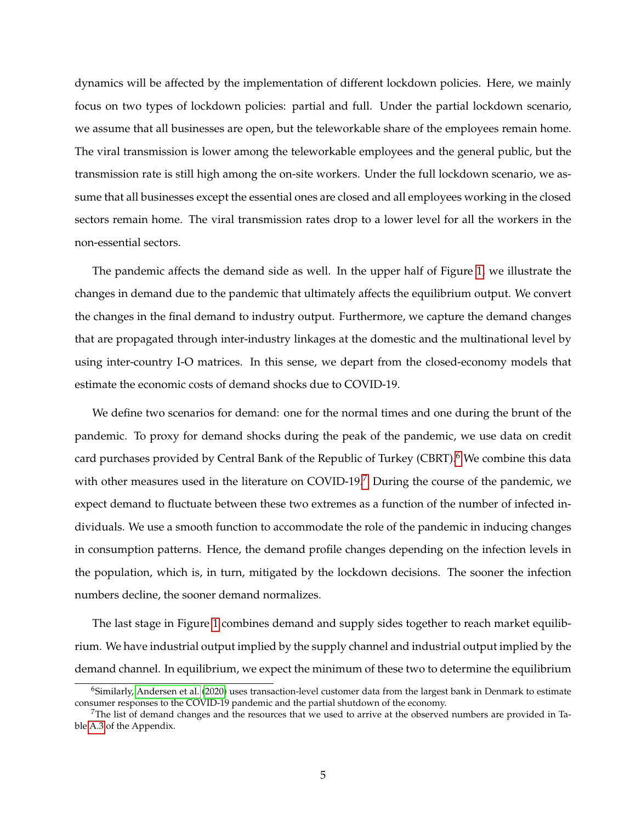dynamics will be affected by the implementation of different lockdown policies. Here, we mainly focus on two types of lockdown policies: partial and full. Under the partial lockdown scenario, we assume that all businesses are open, but the teleworkable share of the employees remain home. The viral transmission is lower among the teleworkable employees and the general public, but the transmission rate is still high among the on-site workers. Under the full lockdown scenario, we assume that all businesses except the essential ones are closed and all employees working in the closed sectors remain home. The viral transmission rates drop to a lower level for all the workers in the non-essential sectors.

The pandemic affects the demand side as well. In the upper half of Figure [1,](#page-4-0) we illustrate the changes in demand due to the pandemic that ultimately affects the equilibrium output. We convert the changes in the final demand to industry output. Furthermore, we capture the demand changes that are propagated through inter-industry linkages at the domestic and the multinational level by using inter-country I-O matrices. In this sense, we depart from the closed-economy models that estimate the economic costs of demand shocks due to COVID-19.

We define two scenarios for demand: one for the normal times and one during the brunt of the pandemic. To proxy for demand shocks during the peak of the pandemic, we use data on credit card purchases provided by Central Bank of the Republic of Turkey (CBRT).<sup>[6](#page-5-0)</sup> We combine this data with other measures used in the literature on COVID-19.<sup>[7](#page-5-1)</sup> During the course of the pandemic, we expect demand to fluctuate between these two extremes as a function of the number of infected individuals. We use a smooth function to accommodate the role of the pandemic in inducing changes in consumption patterns. Hence, the demand profile changes depending on the infection levels in the population, which is, in turn, mitigated by the lockdown decisions. The sooner the infection numbers decline, the sooner demand normalizes.

The last stage in Figure [1](#page-4-0) combines demand and supply sides together to reach market equilibrium. We have industrial output implied by the supply channel and industrial output implied by the demand channel. In equilibrium, we expect the minimum of these two to determine the equilibrium

<span id="page-5-0"></span> $6$ Similarly, [Andersen et al.](#page-40-10) [\(2020\)](#page-40-10) uses transaction-level customer data from the largest bank in Denmark to estimate consumer responses to the COVID-19 pandemic and the partial shutdown of the economy.

<span id="page-5-1"></span> $7$ The list of demand changes and the resources that we used to arrive at the observed numbers are provided in Table [A.3](#page-46-0) of the Appendix.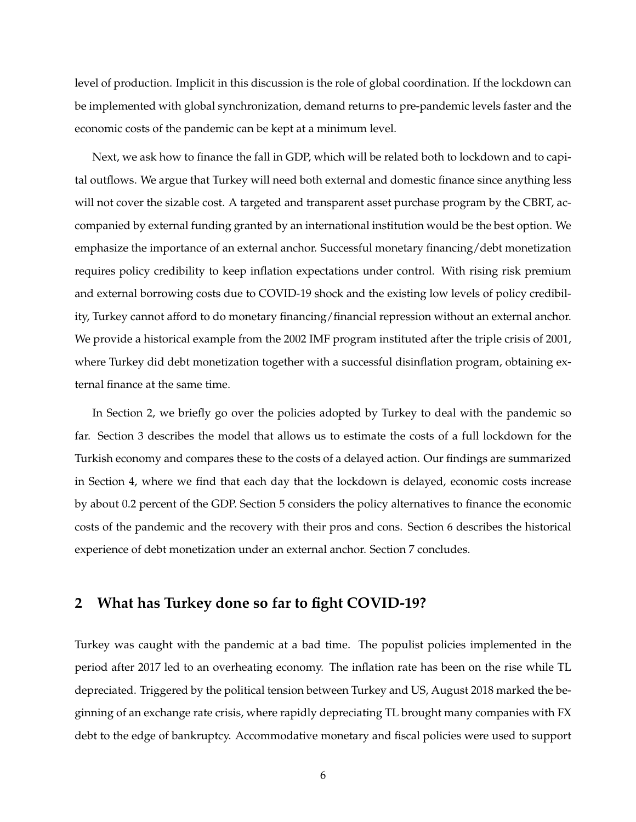level of production. Implicit in this discussion is the role of global coordination. If the lockdown can be implemented with global synchronization, demand returns to pre-pandemic levels faster and the economic costs of the pandemic can be kept at a minimum level.

Next, we ask how to finance the fall in GDP, which will be related both to lockdown and to capital outflows. We argue that Turkey will need both external and domestic finance since anything less will not cover the sizable cost. A targeted and transparent asset purchase program by the CBRT, accompanied by external funding granted by an international institution would be the best option. We emphasize the importance of an external anchor. Successful monetary financing/debt monetization requires policy credibility to keep inflation expectations under control. With rising risk premium and external borrowing costs due to COVID-19 shock and the existing low levels of policy credibility, Turkey cannot afford to do monetary financing/financial repression without an external anchor. We provide a historical example from the 2002 IMF program instituted after the triple crisis of 2001, where Turkey did debt monetization together with a successful disinflation program, obtaining external finance at the same time.

In Section 2, we briefly go over the policies adopted by Turkey to deal with the pandemic so far. Section 3 describes the model that allows us to estimate the costs of a full lockdown for the Turkish economy and compares these to the costs of a delayed action. Our findings are summarized in Section 4, where we find that each day that the lockdown is delayed, economic costs increase by about 0.2 percent of the GDP. Section 5 considers the policy alternatives to finance the economic costs of the pandemic and the recovery with their pros and cons. Section 6 describes the historical experience of debt monetization under an external anchor. Section 7 concludes.

# **2 What has Turkey done so far to fight COVID-19?**

Turkey was caught with the pandemic at a bad time. The populist policies implemented in the period after 2017 led to an overheating economy. The inflation rate has been on the rise while TL depreciated. Triggered by the political tension between Turkey and US, August 2018 marked the beginning of an exchange rate crisis, where rapidly depreciating TL brought many companies with FX debt to the edge of bankruptcy. Accommodative monetary and fiscal policies were used to support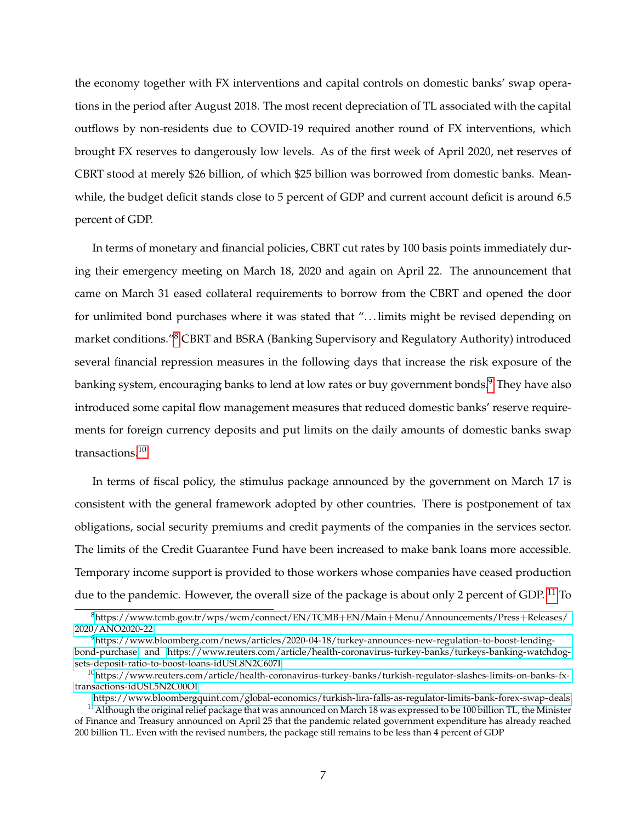the economy together with FX interventions and capital controls on domestic banks' swap operations in the period after August 2018. The most recent depreciation of TL associated with the capital outflows by non-residents due to COVID-19 required another round of FX interventions, which brought FX reserves to dangerously low levels. As of the first week of April 2020, net reserves of CBRT stood at merely \$26 billion, of which \$25 billion was borrowed from domestic banks. Meanwhile, the budget deficit stands close to 5 percent of GDP and current account deficit is around 6.5 percent of GDP.

In terms of monetary and financial policies, CBRT cut rates by 100 basis points immediately during their emergency meeting on March 18, 2020 and again on April 22. The announcement that came on March 31 eased collateral requirements to borrow from the CBRT and opened the door for unlimited bond purchases where it was stated that "...limits might be revised depending on market conditions."[8](#page-7-0) CBRT and BSRA (Banking Supervisory and Regulatory Authority) introduced several financial repression measures in the following days that increase the risk exposure of the banking system, encouraging banks to lend at low rates or buy government bonds.<sup>[9](#page-7-1)</sup> They have also introduced some capital flow management measures that reduced domestic banks' reserve requirements for foreign currency deposits and put limits on the daily amounts of domestic banks swap transactions.[10](#page-7-2)

In terms of fiscal policy, the stimulus package announced by the government on March 17 is consistent with the general framework adopted by other countries. There is postponement of tax obligations, social security premiums and credit payments of the companies in the services sector. The limits of the Credit Guarantee Fund have been increased to make bank loans more accessible. Temporary income support is provided to those workers whose companies have ceased production due to the pandemic. However, the overall size of the package is about only 2 percent of GDP. <sup>[11](#page-7-3)</sup> To

<span id="page-7-0"></span><sup>8</sup>[https://www.tcmb.gov.tr/wps/wcm/connect/EN/TCMB](https://www.tcmb.gov.tr/wps/wcm/connect/EN/TCMB+EN/Main+Menu/Announcements/Press+Releases/2020/ANO2020-22)+EN/Main+Menu/Announcements/Press+Releases/ [2020/ANO2020-22](https://www.tcmb.gov.tr/wps/wcm/connect/EN/TCMB+EN/Main+Menu/Announcements/Press+Releases/2020/ANO2020-22)

<span id="page-7-1"></span><sup>9</sup>[https://www.bloomberg.com/news/articles/2020-04-18/turkey-announces-new-regulation-to-boost-lending](https://www.bloomberg.com/news/articles/2020-04-18/turkey-announces-new-regulation-to-boost-lending-bond-purchase)[bond-purchase](https://www.bloomberg.com/news/articles/2020-04-18/turkey-announces-new-regulation-to-boost-lending-bond-purchase) and [https://www.reuters.com/article/health-coronavirus-turkey-banks/turkeys-banking-watchdog](https://www.reuters.com/article/health-coronavirus-turkey-banks/turkeys-banking-watchdog-sets-deposit-ratio-to-boost-loans-idUSL8N2C607I)[sets-deposit-ratio-to-boost-loans-idUSL8N2C607I](https://www.reuters.com/article/health-coronavirus-turkey-banks/turkeys-banking-watchdog-sets-deposit-ratio-to-boost-loans-idUSL8N2C607I)

<span id="page-7-2"></span><sup>&</sup>lt;sup>10</sup>[https://www.reuters.com/article/health-coronavirus-turkey-banks/turkish-regulator-slashes-limits-on-banks-fx](https://www.reuters.com/article/health-coronavirus-turkey-banks/turkish-regulator-slashes-limits-on-banks-fx-transactions-idUSL5N2C00OI)[transactions-idUSL5N2C00OI](https://www.reuters.com/article/health-coronavirus-turkey-banks/turkish-regulator-slashes-limits-on-banks-fx-transactions-idUSL5N2C00OI)

<span id="page-7-3"></span><https://www.bloombergquint.com/global-economics/turkish-lira-falls-as-regulator-limits-bank-forex-swap-deals>

<sup>&</sup>lt;sup>11</sup> Although the original relief package that was announced on March 18 was expressed to be 100 billion TL, the Minister of Finance and Treasury announced on April 25 that the pandemic related government expenditure has already reached 200 billion TL. Even with the revised numbers, the package still remains to be less than 4 percent of GDP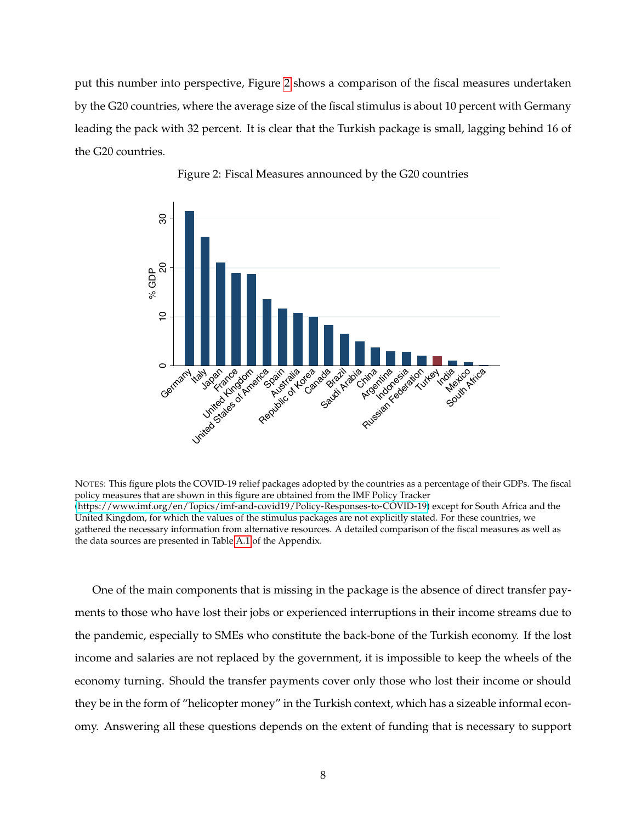put this number into perspective, Figure [2](#page-8-0) shows a comparison of the fiscal measures undertaken by the G20 countries, where the average size of the fiscal stimulus is about 10 percent with Germany leading the pack with 32 percent. It is clear that the Turkish package is small, lagging behind 16 of the G20 countries.

<span id="page-8-0"></span>



NOTES: This figure plots the COVID-19 relief packages adopted by the countries as a percentage of their GDPs. The fiscal policy measures that are shown in this figure are obtained from the IMF Policy Tracker [\(https://www.imf.org/en/Topics/imf-and-covid19/Policy-Responses-to-COVID-19\)](https://www.imf.org/en/Topics/imf-and-covid19/Policy-Responses-to-COVID-19) except for South Africa and the United Kingdom, for which the values of the stimulus packages are not explicitly stated. For these countries, we gathered the necessary information from alternative resources. A detailed comparison of the fiscal measures as well as the data sources are presented in Table [A.1](#page-44-0) of the Appendix.

One of the main components that is missing in the package is the absence of direct transfer payments to those who have lost their jobs or experienced interruptions in their income streams due to the pandemic, especially to SMEs who constitute the back-bone of the Turkish economy. If the lost income and salaries are not replaced by the government, it is impossible to keep the wheels of the economy turning. Should the transfer payments cover only those who lost their income or should they be in the form of "helicopter money" in the Turkish context, which has a sizeable informal economy. Answering all these questions depends on the extent of funding that is necessary to support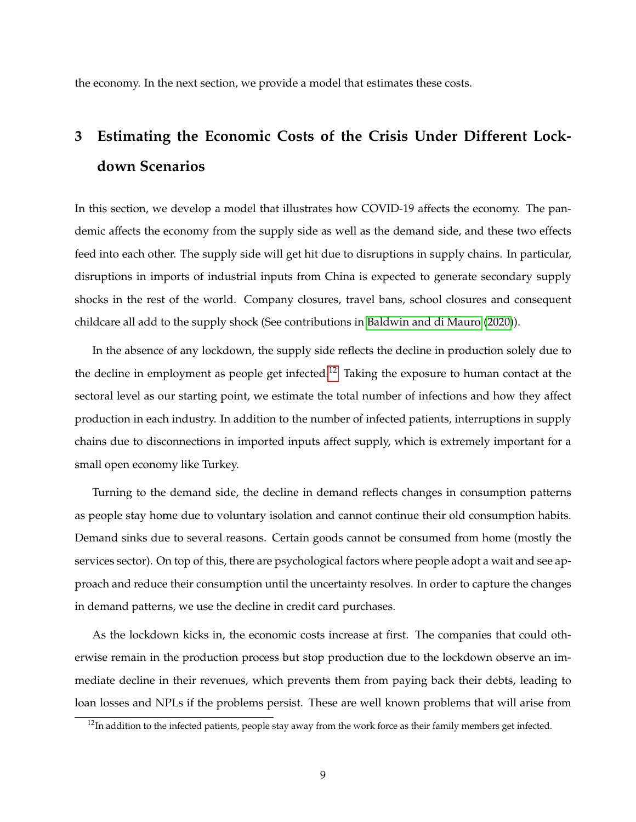the economy. In the next section, we provide a model that estimates these costs.

# **3 Estimating the Economic Costs of the Crisis Under Different Lockdown Scenarios**

In this section, we develop a model that illustrates how COVID-19 affects the economy. The pandemic affects the economy from the supply side as well as the demand side, and these two effects feed into each other. The supply side will get hit due to disruptions in supply chains. In particular, disruptions in imports of industrial inputs from China is expected to generate secondary supply shocks in the rest of the world. Company closures, travel bans, school closures and consequent childcare all add to the supply shock (See contributions in [Baldwin and di Mauro](#page-40-0) [\(2020\)](#page-40-0)).

In the absence of any lockdown, the supply side reflects the decline in production solely due to the decline in employment as people get infected.<sup>[12](#page-9-0)</sup> Taking the exposure to human contact at the sectoral level as our starting point, we estimate the total number of infections and how they affect production in each industry. In addition to the number of infected patients, interruptions in supply chains due to disconnections in imported inputs affect supply, which is extremely important for a small open economy like Turkey.

Turning to the demand side, the decline in demand reflects changes in consumption patterns as people stay home due to voluntary isolation and cannot continue their old consumption habits. Demand sinks due to several reasons. Certain goods cannot be consumed from home (mostly the services sector). On top of this, there are psychological factors where people adopt a wait and see approach and reduce their consumption until the uncertainty resolves. In order to capture the changes in demand patterns, we use the decline in credit card purchases.

As the lockdown kicks in, the economic costs increase at first. The companies that could otherwise remain in the production process but stop production due to the lockdown observe an immediate decline in their revenues, which prevents them from paying back their debts, leading to loan losses and NPLs if the problems persist. These are well known problems that will arise from

<span id="page-9-0"></span> $12$ In addition to the infected patients, people stay away from the work force as their family members get infected.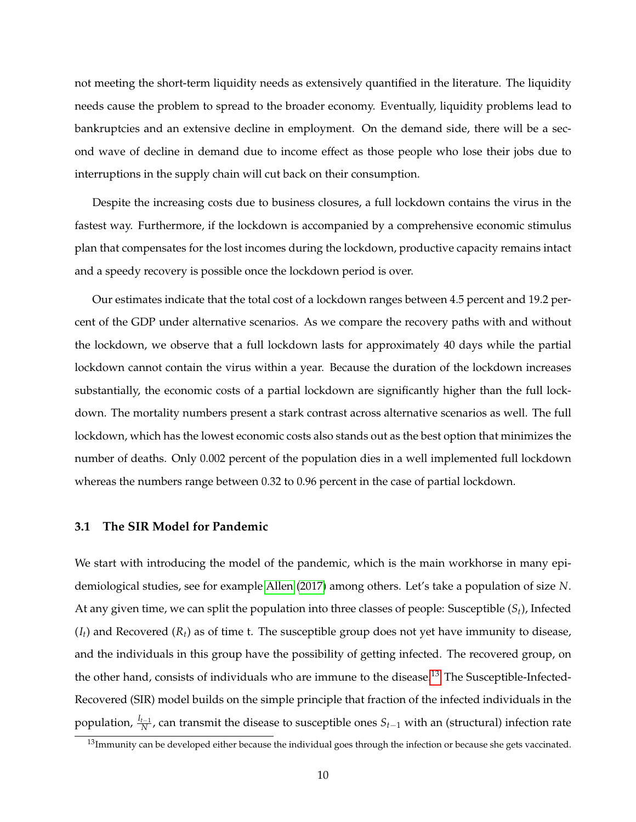not meeting the short-term liquidity needs as extensively quantified in the literature. The liquidity needs cause the problem to spread to the broader economy. Eventually, liquidity problems lead to bankruptcies and an extensive decline in employment. On the demand side, there will be a second wave of decline in demand due to income effect as those people who lose their jobs due to interruptions in the supply chain will cut back on their consumption.

Despite the increasing costs due to business closures, a full lockdown contains the virus in the fastest way. Furthermore, if the lockdown is accompanied by a comprehensive economic stimulus plan that compensates for the lost incomes during the lockdown, productive capacity remains intact and a speedy recovery is possible once the lockdown period is over.

Our estimates indicate that the total cost of a lockdown ranges between 4.5 percent and 19.2 percent of the GDP under alternative scenarios. As we compare the recovery paths with and without the lockdown, we observe that a full lockdown lasts for approximately 40 days while the partial lockdown cannot contain the virus within a year. Because the duration of the lockdown increases substantially, the economic costs of a partial lockdown are significantly higher than the full lockdown. The mortality numbers present a stark contrast across alternative scenarios as well. The full lockdown, which has the lowest economic costs also stands out as the best option that minimizes the number of deaths. Only 0.002 percent of the population dies in a well implemented full lockdown whereas the numbers range between 0.32 to 0.96 percent in the case of partial lockdown.

### **3.1 The SIR Model for Pandemic**

We start with introducing the model of the pandemic, which is the main workhorse in many epidemiological studies, see for example [Allen](#page-40-11) [\(2017\)](#page-40-11) among others. Let's take a population of size *N*. At any given time, we can split the population into three classes of people: Susceptible (*St*), Infected  $(I_t)$  and Recovered  $(R_t)$  as of time t. The susceptible group does not yet have immunity to disease, and the individuals in this group have the possibility of getting infected. The recovered group, on the other hand, consists of individuals who are immune to the disease.<sup>[13](#page-10-0)</sup> The Susceptible-Infected-Recovered (SIR) model builds on the simple principle that fraction of the infected individuals in the population, *<sup>I</sup>t*−<sup>1</sup> *N* , can transmit the disease to susceptible ones *St*−<sup>1</sup> with an (structural) infection rate

<span id="page-10-0"></span> $13$ Immunity can be developed either because the individual goes through the infection or because she gets vaccinated.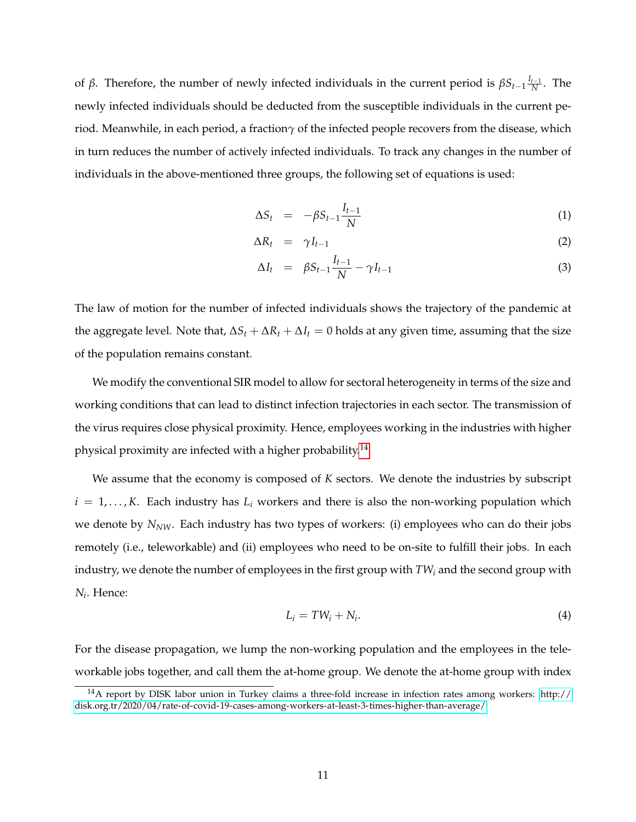of *β*. Therefore, the number of newly infected individuals in the current period is  $βS<sub>t-1</sub>$  $\frac{I_{t-1}}{N}$  $\frac{t-1}{N}$ . The newly infected individuals should be deducted from the susceptible individuals in the current period. Meanwhile, in each period, a fraction*γ* of the infected people recovers from the disease, which in turn reduces the number of actively infected individuals. To track any changes in the number of individuals in the above-mentioned three groups, the following set of equations is used:

$$
\Delta S_t = -\beta S_{t-1} \frac{I_{t-1}}{N} \tag{1}
$$

$$
\Delta R_t = \gamma I_{t-1} \tag{2}
$$

$$
\Delta I_t = \beta S_{t-1} \frac{I_{t-1}}{N} - \gamma I_{t-1} \tag{3}
$$

The law of motion for the number of infected individuals shows the trajectory of the pandemic at the aggregate level. Note that,  $\Delta S_t + \Delta R_t + \Delta I_t = 0$  holds at any given time, assuming that the size of the population remains constant.

We modify the conventional SIR model to allow for sectoral heterogeneity in terms of the size and working conditions that can lead to distinct infection trajectories in each sector. The transmission of the virus requires close physical proximity. Hence, employees working in the industries with higher physical proximity are infected with a higher probability.<sup>[14](#page-11-0)</sup>

We assume that the economy is composed of *K* sectors. We denote the industries by subscript  $i = 1, \ldots, K$ . Each industry has  $L_i$  workers and there is also the non-working population which we denote by *NNW*. Each industry has two types of workers: (i) employees who can do their jobs remotely (i.e., teleworkable) and (ii) employees who need to be on-site to fulfill their jobs. In each industry, we denote the number of employees in the first group with *TW<sup>i</sup>* and the second group with *Ni* . Hence:

$$
L_i = TW_i + N_i. \tag{4}
$$

For the disease propagation, we lump the non-working population and the employees in the teleworkable jobs together, and call them the at-home group. We denote the at-home group with index

<span id="page-11-0"></span><sup>14</sup>A report by DISK labor union in Turkey claims a three-fold increase in infection rates among workers: [http://](http://disk.org.tr/2020/04/rate-of-covid-19-cases-among-workers-at-least-3-times-higher-than-average/) [disk.org.tr/2020/04/rate-of-covid-19-cases-among-workers-at-least-3-times-higher-than-average/](http://disk.org.tr/2020/04/rate-of-covid-19-cases-among-workers-at-least-3-times-higher-than-average/)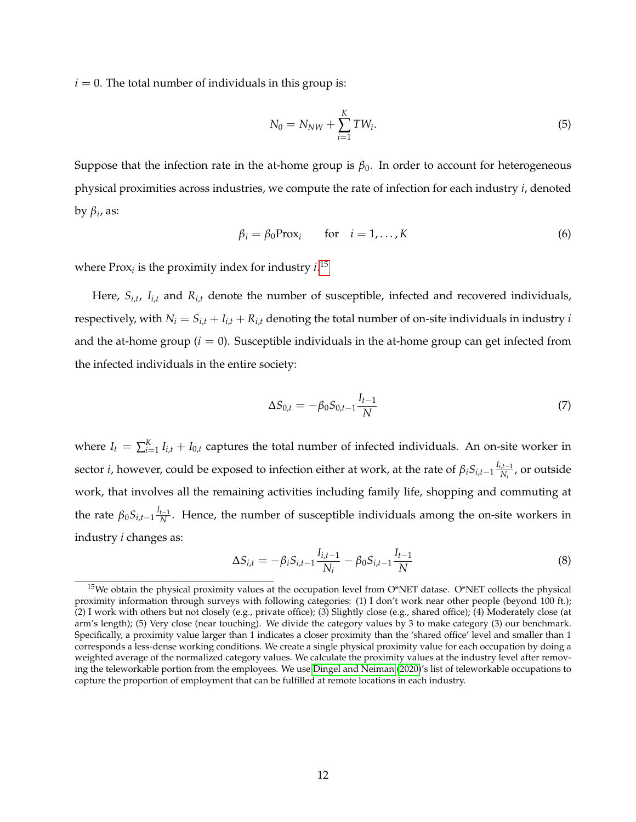$i = 0$ . The total number of individuals in this group is:

$$
N_0 = N_{NW} + \sum_{i=1}^{K} TW_i.
$$
 (5)

Suppose that the infection rate in the at-home group is  $\beta_0$ . In order to account for heterogeneous physical proximities across industries, we compute the rate of infection for each industry *i*, denoted by *β<sup>i</sup>* , as:

<span id="page-12-1"></span>
$$
\beta_i = \beta_0 \text{Prox}_i \quad \text{for} \quad i = 1, \dots, K \tag{6}
$$

where  $Prox_i$  is the proximity index for industry  $i^{15}$  $i^{15}$  $i^{15}$ 

Here, *Si*,*<sup>t</sup>* , *Ii*,*<sup>t</sup>* and *Ri*,*<sup>t</sup>* denote the number of susceptible, infected and recovered individuals, respectively, with  $N_i = S_{i,t} + I_{i,t} + R_{i,t}$  denoting the total number of on-site individuals in industry *i* and the at-home group  $(i = 0)$ . Susceptible individuals in the at-home group can get infected from the infected individuals in the entire society:

$$
\Delta S_{0,t} = -\beta_0 S_{0,t-1} \frac{I_{t-1}}{N} \tag{7}
$$

where  $I_t = \sum_{i=1}^{K} I_{i,t} + I_{0,t}$  captures the total number of infected individuals. An on-site worker in sector *i*, however, could be exposed to infection either at work, at the rate of  $\beta_i S_{i,t-1} \frac{I_{i,t-1}}{N_i}$  $\frac{d^{t-1}}{N_i}$ , or outside work, that involves all the remaining activities including family life, shopping and commuting at the rate  $\beta_0 S_{i,t-1} \frac{I_{t-1}}{N}$  $\frac{t-1}{N}$ . Hence, the number of susceptible individuals among the on-site workers in industry *i* changes as:

$$
\Delta S_{i,t} = -\beta_i S_{i,t-1} \frac{I_{i,t-1}}{N_i} - \beta_0 S_{i,t-1} \frac{I_{t-1}}{N}
$$
(8)

<span id="page-12-0"></span><sup>&</sup>lt;sup>15</sup>We obtain the physical proximity values at the occupation level from O\*NET datase. O\*NET collects the physical proximity information through surveys with following categories: (1) I don't work near other people (beyond 100 ft.); (2) I work with others but not closely (e.g., private office); (3) Slightly close (e.g., shared office); (4) Moderately close (at arm's length); (5) Very close (near touching). We divide the category values by 3 to make category (3) our benchmark. Specifically, a proximity value larger than 1 indicates a closer proximity than the 'shared office' level and smaller than 1 corresponds a less-dense working conditions. We create a single physical proximity value for each occupation by doing a weighted average of the normalized category values. We calculate the proximity values at the industry level after removing the teleworkable portion from the employees. We use [Dingel and Neiman](#page-41-11) [\(2020\)](#page-41-11)'s list of teleworkable occupations to capture the proportion of employment that can be fulfilled at remote locations in each industry.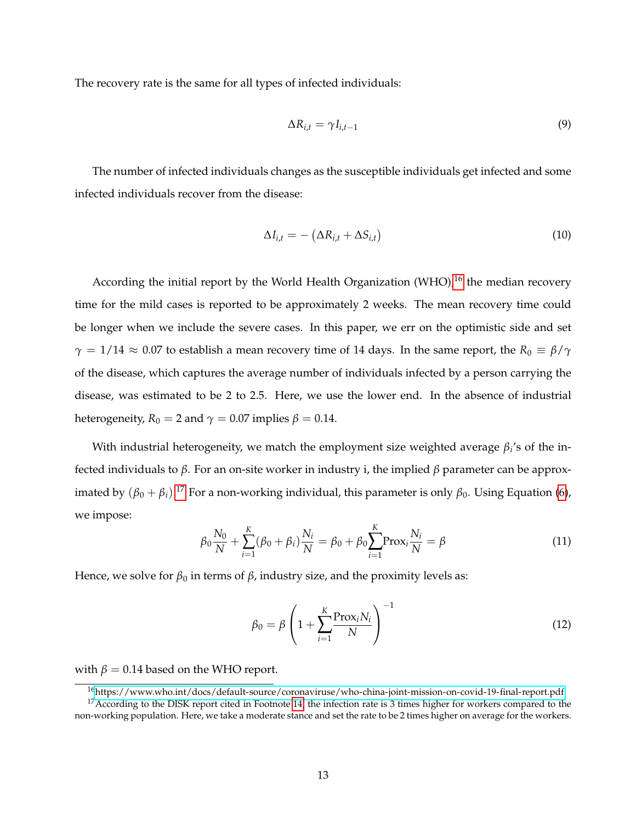The recovery rate is the same for all types of infected individuals:

$$
\Delta R_{i,t} = \gamma I_{i,t-1} \tag{9}
$$

The number of infected individuals changes as the susceptible individuals get infected and some infected individuals recover from the disease:

$$
\Delta I_{i,t} = -\left(\Delta R_{i,t} + \Delta S_{i,t}\right) \tag{10}
$$

According the initial report by the World Health Organization (WHO),<sup>[16](#page-13-0)</sup> the median recovery time for the mild cases is reported to be approximately 2 weeks. The mean recovery time could be longer when we include the severe cases. In this paper, we err on the optimistic side and set  $\gamma = 1/14 \approx 0.07$  to establish a mean recovery time of 14 days. In the same report, the  $R_0 \equiv \beta/\gamma$ of the disease, which captures the average number of individuals infected by a person carrying the disease, was estimated to be 2 to 2.5. Here, we use the lower end. In the absence of industrial heterogeneity,  $R_0 = 2$  and  $\gamma = 0.07$  implies  $\beta = 0.14$ .

With industrial heterogeneity, we match the employment size weighted average *β<sup>i</sup>* 's of the infected individuals to *β*. For an on-site worker in industry i, the implied *β* parameter can be approximated by  $(\beta_0 + \beta_i).^{17}$  $(\beta_0 + \beta_i).^{17}$  $(\beta_0 + \beta_i).^{17}$  For a non-working individual, this parameter is only  $\beta_0$ . Using Equation [\(6\)](#page-12-1), we impose:

$$
\beta_0 \frac{N_0}{N} + \sum_{i=1}^{K} (\beta_0 + \beta_i) \frac{N_i}{N} = \beta_0 + \beta_0 \sum_{i=1}^{K} \text{Prox}_i \frac{N_i}{N} = \beta
$$
\n(11)

Hence, we solve for  $\beta_0$  in terms of  $\beta$ , industry size, and the proximity levels as:

$$
\beta_0 = \beta \left( 1 + \sum_{i=1}^{K} \frac{\text{Prox}_i N_i}{N} \right)^{-1}
$$
\n(12)

with  $\beta = 0.14$  based on the WHO report.

<span id="page-13-1"></span><span id="page-13-0"></span><sup>16</sup><https://www.who.int/docs/default-source/coronaviruse/who-china-joint-mission-on-covid-19-final-report.pdf> <sup>17</sup> According to the DISK report cited in Footnote [14,](#page-11-0) the infection rate is 3 times higher for workers compared to the non-working population. Here, we take a moderate stance and set the rate to be 2 times higher on average for the workers.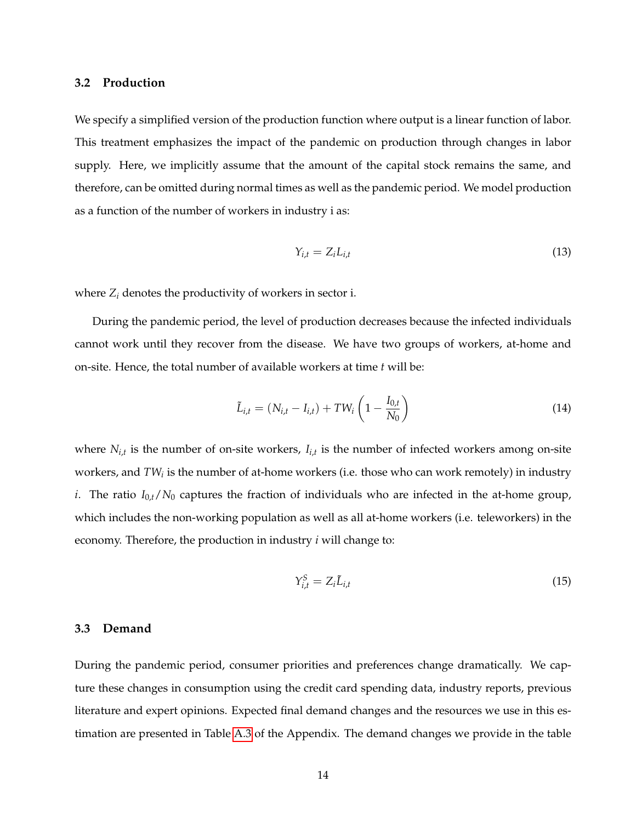### **3.2 Production**

We specify a simplified version of the production function where output is a linear function of labor. This treatment emphasizes the impact of the pandemic on production through changes in labor supply. Here, we implicitly assume that the amount of the capital stock remains the same, and therefore, can be omitted during normal times as well as the pandemic period. We model production as a function of the number of workers in industry i as:

$$
Y_{i,t} = Z_i L_{i,t} \tag{13}
$$

where  $Z_i$  denotes the productivity of workers in sector i.

During the pandemic period, the level of production decreases because the infected individuals cannot work until they recover from the disease. We have two groups of workers, at-home and on-site. Hence, the total number of available workers at time *t* will be:

$$
\tilde{L}_{i,t} = (N_{i,t} - I_{i,t}) + TW_i \left(1 - \frac{I_{0,t}}{N_0}\right)
$$
\n(14)

where *Ni*,*<sup>t</sup>* is the number of on-site workers, *Ii*,*<sup>t</sup>* is the number of infected workers among on-site workers, and *TW<sup>i</sup>* is the number of at-home workers (i.e. those who can work remotely) in industry *i*. The ratio  $I_{0,t}/N_0$  captures the fraction of individuals who are infected in the at-home group, which includes the non-working population as well as all at-home workers (i.e. teleworkers) in the economy. Therefore, the production in industry *i* will change to:

<span id="page-14-0"></span>
$$
Y_{i,t}^S = Z_i \tilde{L}_{i,t} \tag{15}
$$

### **3.3 Demand**

During the pandemic period, consumer priorities and preferences change dramatically. We capture these changes in consumption using the credit card spending data, industry reports, previous literature and expert opinions. Expected final demand changes and the resources we use in this estimation are presented in Table [A.3](#page-46-0) of the Appendix. The demand changes we provide in the table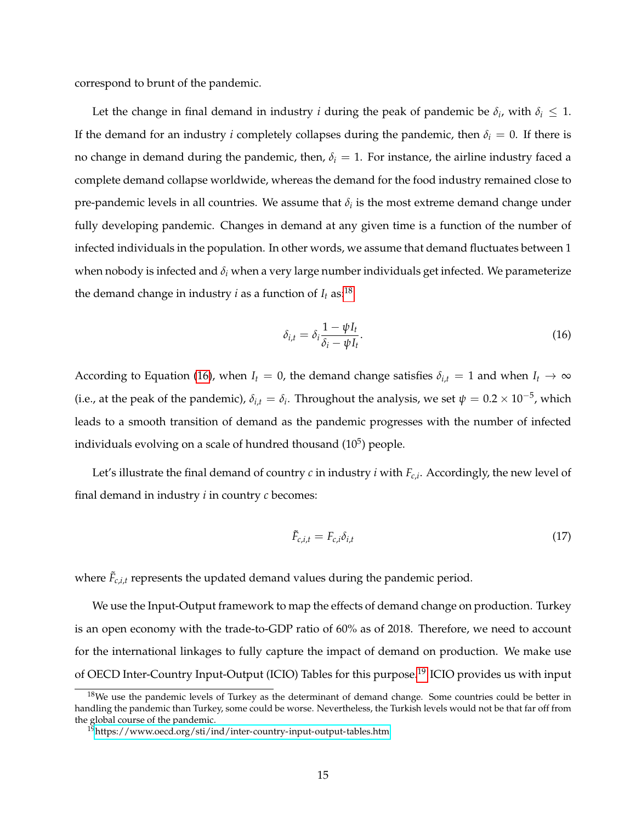correspond to brunt of the pandemic.

Let the change in final demand in industry *i* during the peak of pandemic be  $\delta_i$ , with  $\delta_i \leq 1$ . If the demand for an industry *i* completely collapses during the pandemic, then  $\delta_i = 0$ . If there is no change in demand during the pandemic, then,  $\delta_i = 1$ . For instance, the airline industry faced a complete demand collapse worldwide, whereas the demand for the food industry remained close to pre-pandemic levels in all countries. We assume that  $\delta_i$  is the most extreme demand change under fully developing pandemic. Changes in demand at any given time is a function of the number of infected individuals in the population. In other words, we assume that demand fluctuates between 1 when nobody is infected and  $\delta_i$  when a very large number individuals get infected. We parameterize the demand change in industry *i* as a function of  $I_t$  as:<sup>[18](#page-15-0)</sup>

<span id="page-15-1"></span>
$$
\delta_{i,t} = \delta_i \frac{1 - \psi I_t}{\delta_i - \psi I_t}.
$$
\n(16)

According to Equation [\(16\)](#page-15-1), when  $I_t = 0$ , the demand change satisfies  $\delta_{i,t} = 1$  and when  $I_t \to \infty$ (i.e., at the peak of the pandemic),  $\delta_{i,t} = \delta_i$ . Throughout the analysis, we set  $\psi = 0.2 \times 10^{-5}$ , which leads to a smooth transition of demand as the pandemic progresses with the number of infected individuals evolving on a scale of hundred thousand (10 $^5$ ) people.

Let's illustrate the final demand of country *c* in industry *i* with *Fc*,*<sup>i</sup>* . Accordingly, the new level of final demand in industry *i* in country *c* becomes:

<span id="page-15-3"></span>
$$
\tilde{F}_{c,i,t} = F_{c,i}\delta_{i,t} \tag{17}
$$

where  $\tilde{F}_{c,i,t}$  represents the updated demand values during the pandemic period.

We use the Input-Output framework to map the effects of demand change on production. Turkey is an open economy with the trade-to-GDP ratio of 60% as of 2018. Therefore, we need to account for the international linkages to fully capture the impact of demand on production. We make use of OECD Inter-Country Input-Output (ICIO) Tables for this purpose.<sup>[19](#page-15-2)</sup> ICIO provides us with input

<span id="page-15-0"></span> $18$ We use the pandemic levels of Turkey as the determinant of demand change. Some countries could be better in handling the pandemic than Turkey, some could be worse. Nevertheless, the Turkish levels would not be that far off from the global course of the pandemic.

<span id="page-15-2"></span><sup>19</sup><https://www.oecd.org/sti/ind/inter-country-input-output-tables.htm>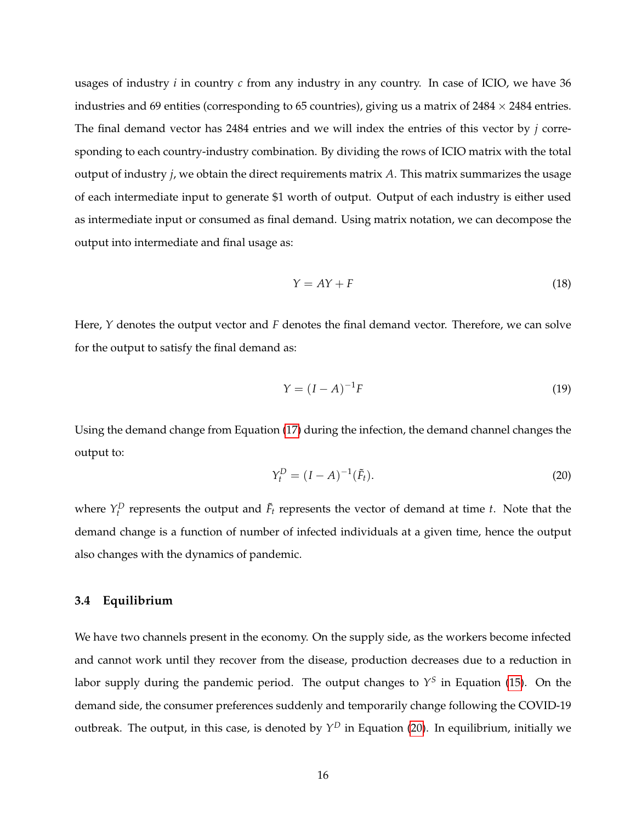usages of industry *i* in country *c* from any industry in any country. In case of ICIO, we have 36 industries and 69 entities (corresponding to 65 countries), giving us a matrix of  $2484 \times 2484$  entries. The final demand vector has 2484 entries and we will index the entries of this vector by *j* corresponding to each country-industry combination. By dividing the rows of ICIO matrix with the total output of industry *j*, we obtain the direct requirements matrix *A*. This matrix summarizes the usage of each intermediate input to generate \$1 worth of output. Output of each industry is either used as intermediate input or consumed as final demand. Using matrix notation, we can decompose the output into intermediate and final usage as:

$$
Y = AY + F \tag{18}
$$

Here, *Y* denotes the output vector and *F* denotes the final demand vector. Therefore, we can solve for the output to satisfy the final demand as:

$$
Y = (I - A)^{-1}F\tag{19}
$$

Using the demand change from Equation [\(17\)](#page-15-3) during the infection, the demand channel changes the output to:

<span id="page-16-0"></span>
$$
Y_t^D = (I - A)^{-1}(\tilde{F}_t).
$$
\n(20)

where  $Y_t^D$  represents the output and  $\tilde{F}_t$  represents the vector of demand at time *t*. Note that the demand change is a function of number of infected individuals at a given time, hence the output also changes with the dynamics of pandemic.

#### **3.4 Equilibrium**

We have two channels present in the economy. On the supply side, as the workers become infected and cannot work until they recover from the disease, production decreases due to a reduction in labor supply during the pandemic period. The output changes to  $Y^S$  in Equation [\(15\)](#page-14-0). On the demand side, the consumer preferences suddenly and temporarily change following the COVID-19 outbreak. The output, in this case, is denoted by *Y <sup>D</sup>* in Equation [\(20\)](#page-16-0). In equilibrium, initially we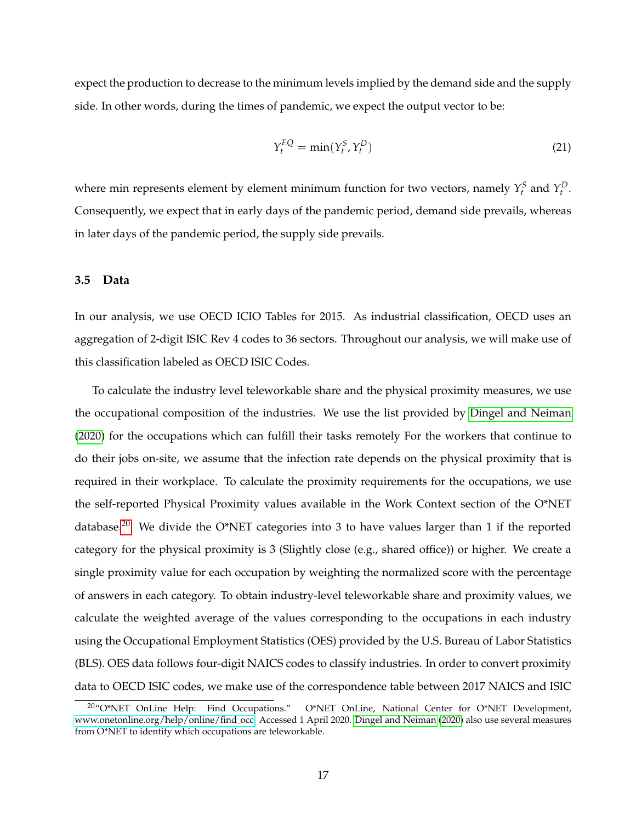expect the production to decrease to the minimum levels implied by the demand side and the supply side. In other words, during the times of pandemic, we expect the output vector to be:

$$
Y_t^{EQ} = \min(Y_t^S, Y_t^D) \tag{21}
$$

where min represents element by element minimum function for two vectors, namely  $Y_t^S$  and  $Y_t^D$ . Consequently, we expect that in early days of the pandemic period, demand side prevails, whereas in later days of the pandemic period, the supply side prevails.

## **3.5 Data**

In our analysis, we use OECD ICIO Tables for 2015. As industrial classification, OECD uses an aggregation of 2-digit ISIC Rev 4 codes to 36 sectors. Throughout our analysis, we will make use of this classification labeled as OECD ISIC Codes.

To calculate the industry level teleworkable share and the physical proximity measures, we use the occupational composition of the industries. We use the list provided by [Dingel and Neiman](#page-41-11) [\(2020\)](#page-41-11) for the occupations which can fulfill their tasks remotely For the workers that continue to do their jobs on-site, we assume that the infection rate depends on the physical proximity that is required in their workplace. To calculate the proximity requirements for the occupations, we use the self-reported Physical Proximity values available in the Work Context section of the O\*NET database.<sup>[20](#page-17-0)</sup> We divide the O\*NET categories into 3 to have values larger than 1 if the reported category for the physical proximity is 3 (Slightly close (e.g., shared office)) or higher. We create a single proximity value for each occupation by weighting the normalized score with the percentage of answers in each category. To obtain industry-level teleworkable share and proximity values, we calculate the weighted average of the values corresponding to the occupations in each industry using the Occupational Employment Statistics (OES) provided by the U.S. Bureau of Labor Statistics (BLS). OES data follows four-digit NAICS codes to classify industries. In order to convert proximity data to OECD ISIC codes, we make use of the correspondence table between 2017 NAICS and ISIC

<span id="page-17-0"></span><sup>&</sup>lt;sup>20</sup>"O\*NET OnLine Help: Find Occupations." O\*NET OnLine, National Center for O\*NET Development, [www.onetonline.org/help/online/find](www.onetonline.org/help/online/find_occ) occ. Accessed 1 April 2020. [Dingel and Neiman](#page-41-11) [\(2020\)](#page-41-11) also use several measures from O\*NET to identify which occupations are teleworkable.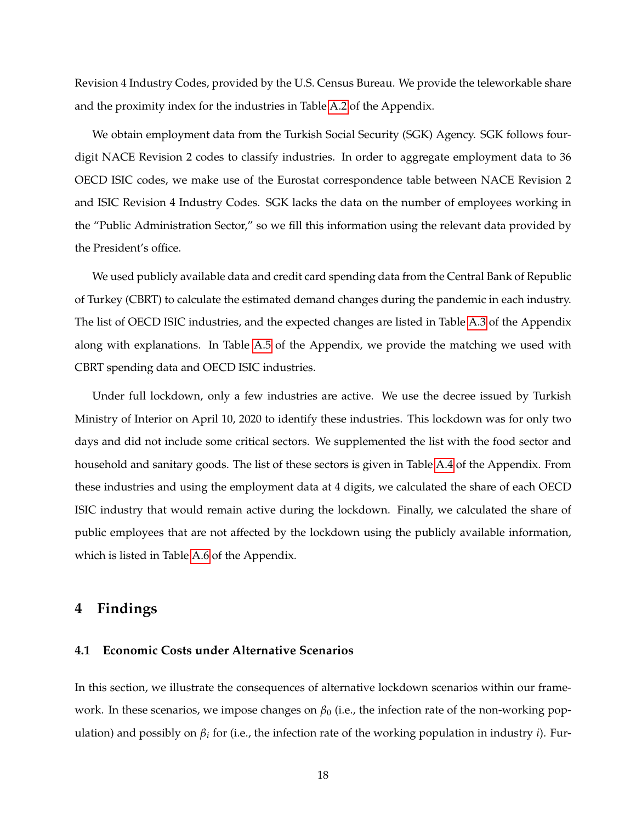Revision 4 Industry Codes, provided by the U.S. Census Bureau. We provide the teleworkable share and the proximity index for the industries in Table [A.2](#page-45-0) of the Appendix.

We obtain employment data from the Turkish Social Security (SGK) Agency. SGK follows fourdigit NACE Revision 2 codes to classify industries. In order to aggregate employment data to 36 OECD ISIC codes, we make use of the Eurostat correspondence table between NACE Revision 2 and ISIC Revision 4 Industry Codes. SGK lacks the data on the number of employees working in the "Public Administration Sector," so we fill this information using the relevant data provided by the President's office.

We used publicly available data and credit card spending data from the Central Bank of Republic of Turkey (CBRT) to calculate the estimated demand changes during the pandemic in each industry. The list of OECD ISIC industries, and the expected changes are listed in Table [A.3](#page-46-0) of the Appendix along with explanations. In Table [A.5](#page-48-0) of the Appendix, we provide the matching we used with CBRT spending data and OECD ISIC industries.

Under full lockdown, only a few industries are active. We use the decree issued by Turkish Ministry of Interior on April 10, 2020 to identify these industries. This lockdown was for only two days and did not include some critical sectors. We supplemented the list with the food sector and household and sanitary goods. The list of these sectors is given in Table [A.4](#page-47-0) of the Appendix. From these industries and using the employment data at 4 digits, we calculated the share of each OECD ISIC industry that would remain active during the lockdown. Finally, we calculated the share of public employees that are not affected by the lockdown using the publicly available information, which is listed in Table [A.6](#page-48-1) of the Appendix.

## **4 Findings**

## **4.1 Economic Costs under Alternative Scenarios**

In this section, we illustrate the consequences of alternative lockdown scenarios within our framework. In these scenarios, we impose changes on *β*<sup>0</sup> (i.e., the infection rate of the non-working population) and possibly on *β<sup>i</sup>* for (i.e., the infection rate of the working population in industry *i*). Fur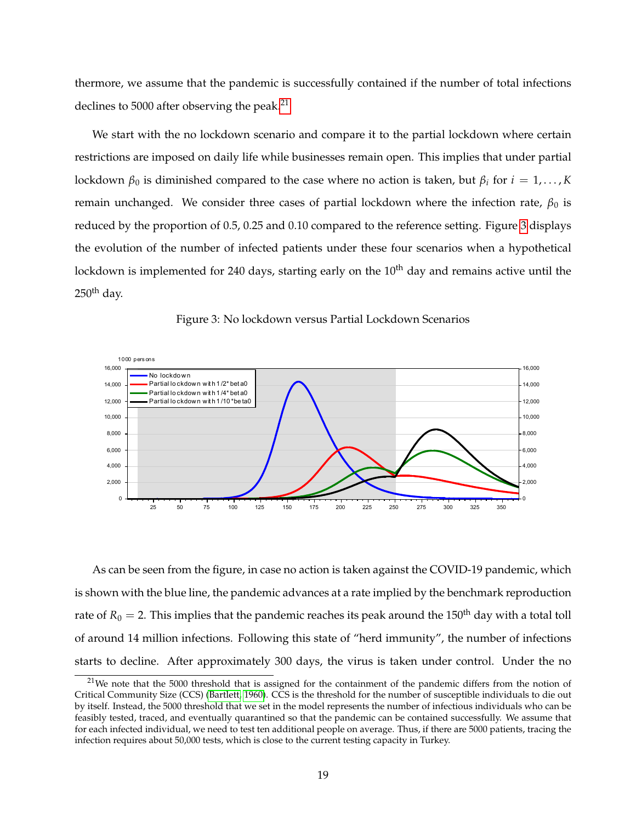thermore, we assume that the pandemic is successfully contained if the number of total infections declines to 5000 after observing the peak.<sup>[21](#page-19-0)</sup>

We start with the no lockdown scenario and compare it to the partial lockdown where certain restrictions are imposed on daily life while businesses remain open. This implies that under partial lockdown  $β_0$  is diminished compared to the case where no action is taken, but  $β_i$  for  $i = 1, ..., K$ remain unchanged. We consider three cases of partial lockdown where the infection rate,  $β_0$  is reduced by the proportion of 0.5, 0.25 and 0.10 compared to the reference setting. Figure [3](#page-19-1) displays the evolution of the number of infected patients under these four scenarios when a hypothetical lockdown is implemented for 240 days, starting early on the 10<sup>th</sup> day and remains active until the  $250<sup>th</sup>$  day.

<span id="page-19-1"></span>

Figure 3: No lockdown versus Partial Lockdown Scenarios

As can be seen from the figure, in case no action is taken against the COVID-19 pandemic, which is shown with the blue line, the pandemic advances at a rate implied by the benchmark reproduction rate of  $R_0 = 2$ . This implies that the pandemic reaches its peak around the 150<sup>th</sup> day with a total toll of around 14 million infections. Following this state of "herd immunity", the number of infections starts to decline. After approximately 300 days, the virus is taken under control. Under the no

<span id="page-19-0"></span><sup>&</sup>lt;sup>21</sup>We note that the 5000 threshold that is assigned for the containment of the pandemic differs from the notion of Critical Community Size (CCS) [\(Bartlett, 1960\)](#page-40-12). CCS is the threshold for the number of susceptible individuals to die out by itself. Instead, the 5000 threshold that we set in the model represents the number of infectious individuals who can be feasibly tested, traced, and eventually quarantined so that the pandemic can be contained successfully. We assume that for each infected individual, we need to test ten additional people on average. Thus, if there are 5000 patients, tracing the infection requires about 50,000 tests, which is close to the current testing capacity in Turkey.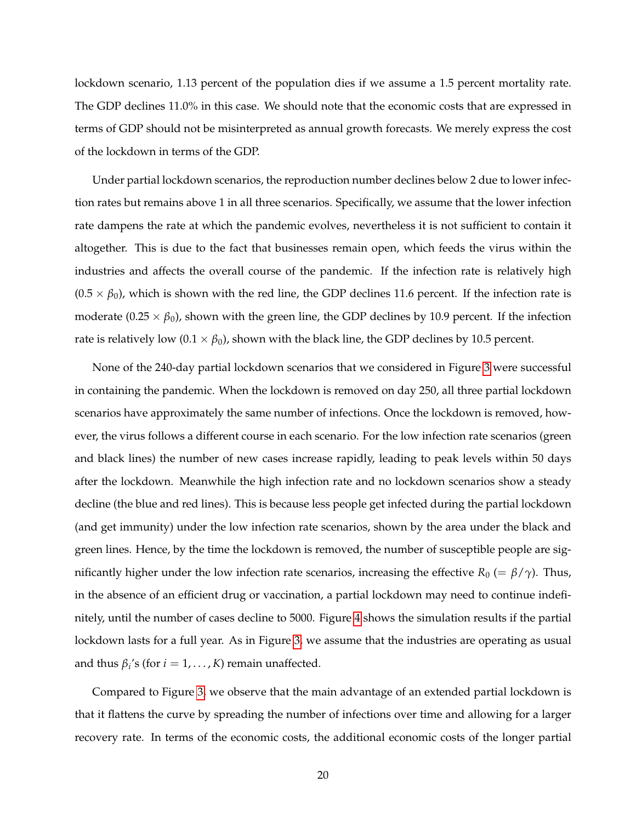lockdown scenario, 1.13 percent of the population dies if we assume a 1.5 percent mortality rate. The GDP declines 11.0% in this case. We should note that the economic costs that are expressed in terms of GDP should not be misinterpreted as annual growth forecasts. We merely express the cost of the lockdown in terms of the GDP.

Under partial lockdown scenarios, the reproduction number declines below 2 due to lower infection rates but remains above 1 in all three scenarios. Specifically, we assume that the lower infection rate dampens the rate at which the pandemic evolves, nevertheless it is not sufficient to contain it altogether. This is due to the fact that businesses remain open, which feeds the virus within the industries and affects the overall course of the pandemic. If the infection rate is relatively high  $(0.5 \times \beta_0)$ , which is shown with the red line, the GDP declines 11.6 percent. If the infection rate is moderate (0.25  $\times$   $\beta_0$ ), shown with the green line, the GDP declines by 10.9 percent. If the infection rate is relatively low  $(0.1 \times \beta_0)$ , shown with the black line, the GDP declines by 10.5 percent.

None of the 240-day partial lockdown scenarios that we considered in Figure [3](#page-19-1) were successful in containing the pandemic. When the lockdown is removed on day 250, all three partial lockdown scenarios have approximately the same number of infections. Once the lockdown is removed, however, the virus follows a different course in each scenario. For the low infection rate scenarios (green and black lines) the number of new cases increase rapidly, leading to peak levels within 50 days after the lockdown. Meanwhile the high infection rate and no lockdown scenarios show a steady decline (the blue and red lines). This is because less people get infected during the partial lockdown (and get immunity) under the low infection rate scenarios, shown by the area under the black and green lines. Hence, by the time the lockdown is removed, the number of susceptible people are significantly higher under the low infection rate scenarios, increasing the effective  $R_0 = \beta/\gamma$ ). Thus, in the absence of an efficient drug or vaccination, a partial lockdown may need to continue indefinitely, until the number of cases decline to 5000. Figure [4](#page-21-0) shows the simulation results if the partial lockdown lasts for a full year. As in Figure [3,](#page-19-1) we assume that the industries are operating as usual and thus  $\beta_i$ 's (for  $i = 1, \ldots, K$ ) remain unaffected.

Compared to Figure [3,](#page-19-1) we observe that the main advantage of an extended partial lockdown is that it flattens the curve by spreading the number of infections over time and allowing for a larger recovery rate. In terms of the economic costs, the additional economic costs of the longer partial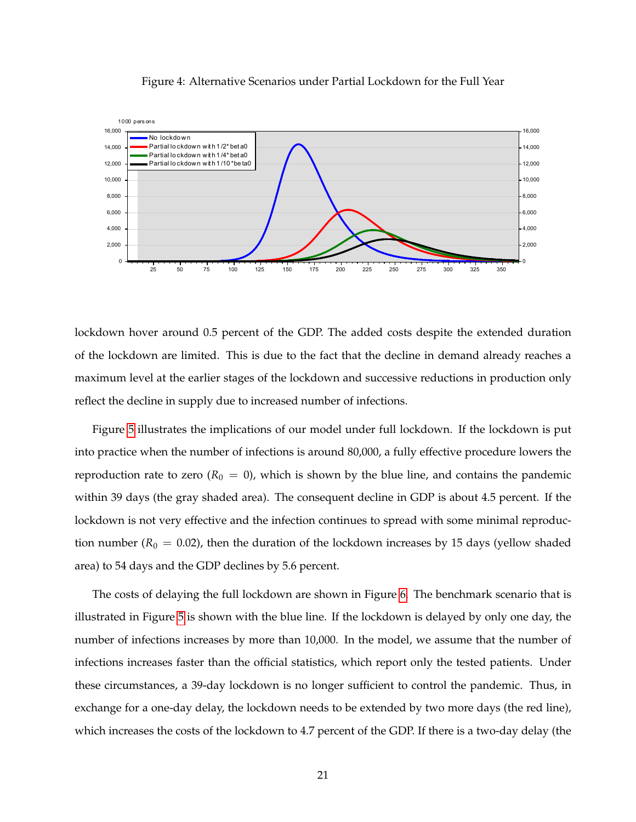<span id="page-21-0"></span>

#### Figure 4: Alternative Scenarios under Partial Lockdown for the Full Year

lockdown hover around 0.5 percent of the GDP. The added costs despite the extended duration of the lockdown are limited. This is due to the fact that the decline in demand already reaches a maximum level at the earlier stages of the lockdown and successive reductions in production only reflect the decline in supply due to increased number of infections.

Figure [5](#page-22-0) illustrates the implications of our model under full lockdown. If the lockdown is put into practice when the number of infections is around 80,000, a fully effective procedure lowers the reproduction rate to zero ( $R_0 = 0$ ), which is shown by the blue line, and contains the pandemic within 39 days (the gray shaded area). The consequent decline in GDP is about 4.5 percent. If the lockdown is not very effective and the infection continues to spread with some minimal reproduction number ( $R_0 = 0.02$ ), then the duration of the lockdown increases by 15 days (yellow shaded area) to 54 days and the GDP declines by 5.6 percent.

The costs of delaying the full lockdown are shown in Figure [6.](#page-22-1) The benchmark scenario that is illustrated in Figure [5](#page-22-0) is shown with the blue line. If the lockdown is delayed by only one day, the number of infections increases by more than 10,000. In the model, we assume that the number of infections increases faster than the official statistics, which report only the tested patients. Under these circumstances, a 39-day lockdown is no longer sufficient to control the pandemic. Thus, in exchange for a one-day delay, the lockdown needs to be extended by two more days (the red line), which increases the costs of the lockdown to 4.7 percent of the GDP. If there is a two-day delay (the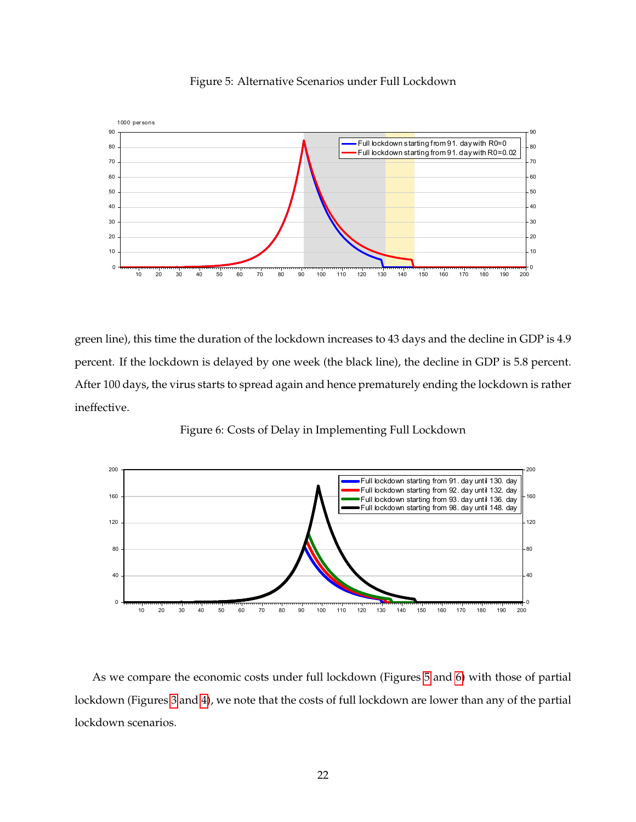<span id="page-22-0"></span>

Figure 5: Alternative Scenarios under Full Lockdown

green line), this time the duration of the lockdown increases to 43 days and the decline in GDP is 4.9 percent. If the lockdown is delayed by one week (the black line), the decline in GDP is 5.8 percent. After 100 days, the virus starts to spread again and hence prematurely ending the lockdown is rather ineffective.

<span id="page-22-1"></span>

Figure 6: Costs of Delay in Implementing Full Lockdown

As we compare the economic costs under full lockdown (Figures [5](#page-22-0) and [6\)](#page-22-1) with those of partial lockdown (Figures [3](#page-19-1) and [4\)](#page-21-0), we note that the costs of full lockdown are lower than any of the partial lockdown scenarios.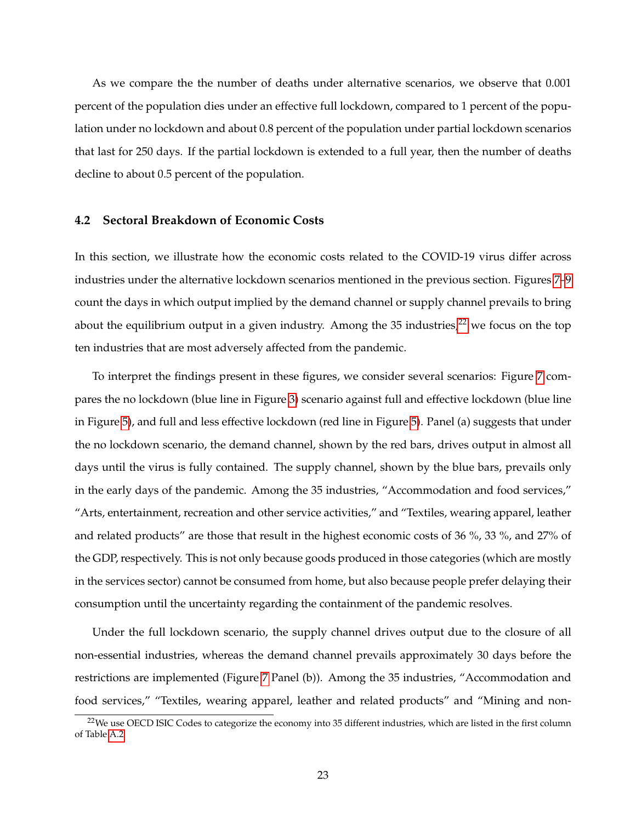As we compare the the number of deaths under alternative scenarios, we observe that 0.001 percent of the population dies under an effective full lockdown, compared to 1 percent of the population under no lockdown and about 0.8 percent of the population under partial lockdown scenarios that last for 250 days. If the partial lockdown is extended to a full year, then the number of deaths decline to about 0.5 percent of the population.

#### **4.2 Sectoral Breakdown of Economic Costs**

In this section, we illustrate how the economic costs related to the COVID-19 virus differ across industries under the alternative lockdown scenarios mentioned in the previous section. Figures [7](#page-24-0)[–9](#page-26-0) count the days in which output implied by the demand channel or supply channel prevails to bring about the equilibrium output in a given industry. Among the 35 industries, $22$  we focus on the top ten industries that are most adversely affected from the pandemic.

To interpret the findings present in these figures, we consider several scenarios: Figure [7](#page-24-0) compares the no lockdown (blue line in Figure [3\)](#page-19-1) scenario against full and effective lockdown (blue line in Figure [5\)](#page-22-0), and full and less effective lockdown (red line in Figure [5\)](#page-22-0). Panel (a) suggests that under the no lockdown scenario, the demand channel, shown by the red bars, drives output in almost all days until the virus is fully contained. The supply channel, shown by the blue bars, prevails only in the early days of the pandemic. Among the 35 industries, "Accommodation and food services," "Arts, entertainment, recreation and other service activities," and "Textiles, wearing apparel, leather and related products" are those that result in the highest economic costs of 36 %, 33 %, and 27% of the GDP, respectively. This is not only because goods produced in those categories (which are mostly in the services sector) cannot be consumed from home, but also because people prefer delaying their consumption until the uncertainty regarding the containment of the pandemic resolves.

Under the full lockdown scenario, the supply channel drives output due to the closure of all non-essential industries, whereas the demand channel prevails approximately 30 days before the restrictions are implemented (Figure [7](#page-24-0) Panel (b)). Among the 35 industries, "Accommodation and food services," "Textiles, wearing apparel, leather and related products" and "Mining and non-

<span id="page-23-0"></span><sup>&</sup>lt;sup>22</sup>We use OECD ISIC Codes to categorize the economy into 35 different industries, which are listed in the first column of Table [A.2](#page-45-0)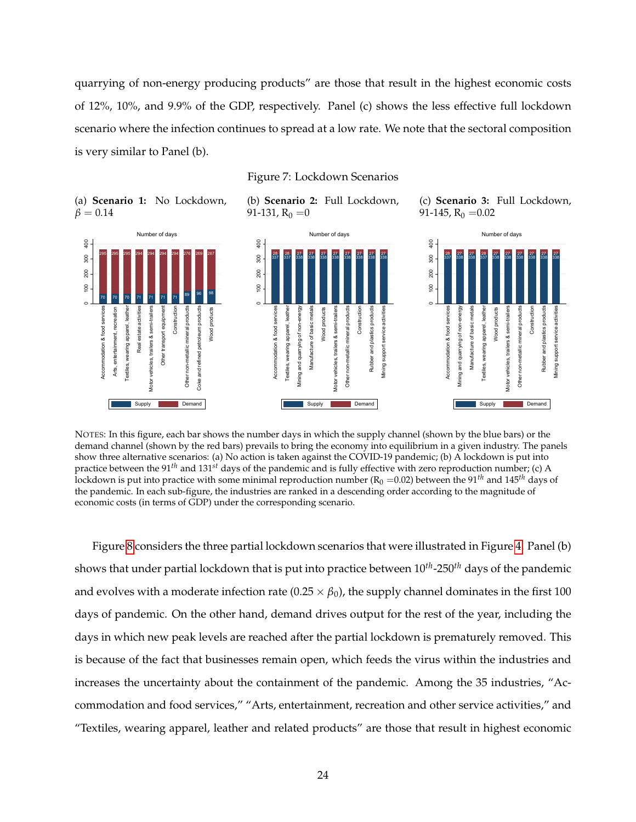quarrying of non-energy producing products" are those that result in the highest economic costs of 12%, 10%, and 9.9% of the GDP, respectively. Panel (c) shows the less effective full lockdown scenario where the infection continues to spread at a low rate. We note that the sectoral composition is very similar to Panel (b).

<span id="page-24-0"></span>

NOTES: In this figure, each bar shows the number days in which the supply channel (shown by the blue bars) or the demand channel (shown by the red bars) prevails to bring the economy into equilibrium in a given industry. The panels show three alternative scenarios: (a) No action is taken against the COVID-19 pandemic; (b) A lockdown is put into practice between the 91*th* and 131*st* days of the pandemic and is fully effective with zero reproduction number; (c) A lockdown is put into practice with some minimal reproduction number  $(R_0 = 0.02)$  between the 91<sup>th</sup> and 145<sup>th</sup> days of the pandemic. In each sub-figure, the industries are ranked in a descending order according to the magnitude of economic costs (in terms of GDP) under the corresponding scenario.

Figure [8](#page-25-0) considers the three partial lockdown scenarios that were illustrated in Figure [4.](#page-21-0) Panel (b) shows that under partial lockdown that is put into practice between 10*th*-250*th* days of the pandemic and evolves with a moderate infection rate  $(0.25 \times \beta_0)$ , the supply channel dominates in the first 100 days of pandemic. On the other hand, demand drives output for the rest of the year, including the days in which new peak levels are reached after the partial lockdown is prematurely removed. This is because of the fact that businesses remain open, which feeds the virus within the industries and increases the uncertainty about the containment of the pandemic. Among the 35 industries, "Accommodation and food services," "Arts, entertainment, recreation and other service activities," and "Textiles, wearing apparel, leather and related products" are those that result in highest economic

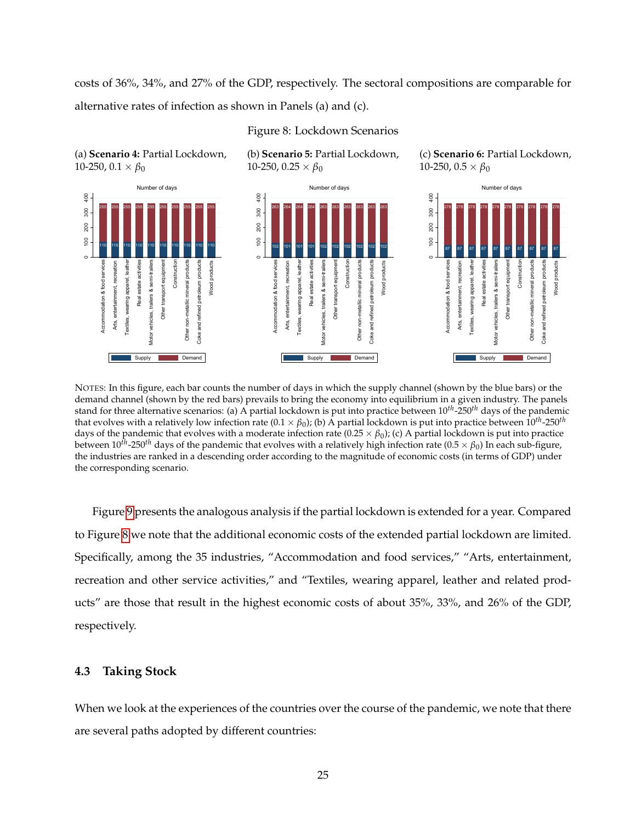costs of 36%, 34%, and 27% of the GDP, respectively. The sectoral compositions are comparable for alternative rates of infection as shown in Panels (a) and (c).

<span id="page-25-0"></span>

Figure 8: Lockdown Scenarios

NOTES: In this figure, each bar counts the number of days in which the supply channel (shown by the blue bars) or the demand channel (shown by the red bars) prevails to bring the economy into equilibrium in a given industry. The panels stand for three alternative scenarios: (a) A partial lockdown is put into practice between 10*th*-250*th* days of the pandemic that evolves with a relatively low infection rate  $(0.1 \times \beta_0)$ ; (b) A partial lockdown is put into practice between  $10^{th}$ -250<sup>th</sup> days of the pandemic that evolves with a moderate infection rate  $(0.25 \times \beta_0)$ ; (c) A partial lockdown is put into practice between  $10^{fh}$ -250<sup>th</sup> days of the pandemic that evolves with a relatively high infection rate (0.5  $\times$   $\beta_0$ ) In each sub-figure, the industries are ranked in a descending order according to the magnitude of economic costs (in terms of GDP) under the corresponding scenario.

Figure [9](#page-26-0) presents the analogous analysis if the partial lockdown is extended for a year. Compared to Figure [8](#page-25-0) we note that the additional economic costs of the extended partial lockdown are limited. Specifically, among the 35 industries, "Accommodation and food services," "Arts, entertainment, recreation and other service activities," and "Textiles, wearing apparel, leather and related products" are those that result in the highest economic costs of about 35%, 33%, and 26% of the GDP, respectively.

## **4.3 Taking Stock**

When we look at the experiences of the countries over the course of the pandemic, we note that there are several paths adopted by different countries: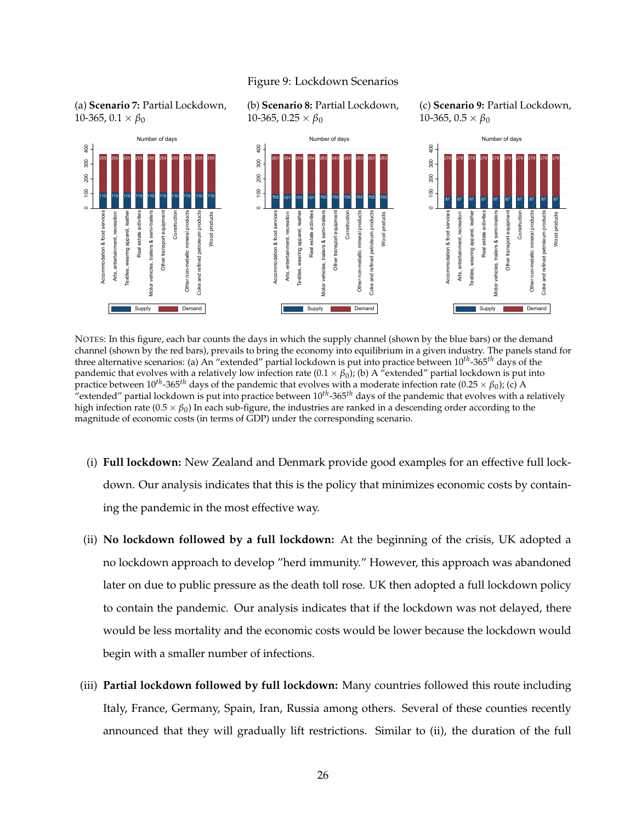#### Figure 9: Lockdown Scenarios

<span id="page-26-0"></span>



(c) **Scenario 9:** Partial Lockdown, 10-365,  $0.5 \times \beta_0$ 



NOTES: In this figure, each bar counts the days in which the supply channel (shown by the blue bars) or the demand channel (shown by the red bars), prevails to bring the economy into equilibrium in a given industry. The panels stand for three alternative scenarios: (a) An "extended" partial lockdown is put into practice between 10*th*-365*th* days of the pandemic that evolves with a relatively low infection rate  $(0.1 \times \beta_0)$ ; (b) A "extended" partial lockdown is put into practice between  $10^{th}$ -365<sup>th</sup> days of the pandemic that evolves with a moderate infection rate (0.25  $\times$   $\beta_0$ ); (c) A "extended" partial lockdown is put into practice between 10*th*-365*th* days of the pandemic that evolves with a relatively high infection rate ( $0.5 \times \beta_0$ ) In each sub-figure, the industries are ranked in a descending order according to the magnitude of economic costs (in terms of GDP) under the corresponding scenario.

- (i) **Full lockdown:** New Zealand and Denmark provide good examples for an effective full lockdown. Our analysis indicates that this is the policy that minimizes economic costs by containing the pandemic in the most effective way.
- (ii) **No lockdown followed by a full lockdown:** At the beginning of the crisis, UK adopted a no lockdown approach to develop "herd immunity." However, this approach was abandoned later on due to public pressure as the death toll rose. UK then adopted a full lockdown policy to contain the pandemic. Our analysis indicates that if the lockdown was not delayed, there would be less mortality and the economic costs would be lower because the lockdown would begin with a smaller number of infections.
- (iii) **Partial lockdown followed by full lockdown:** Many countries followed this route including Italy, France, Germany, Spain, Iran, Russia among others. Several of these counties recently announced that they will gradually lift restrictions. Similar to (ii), the duration of the full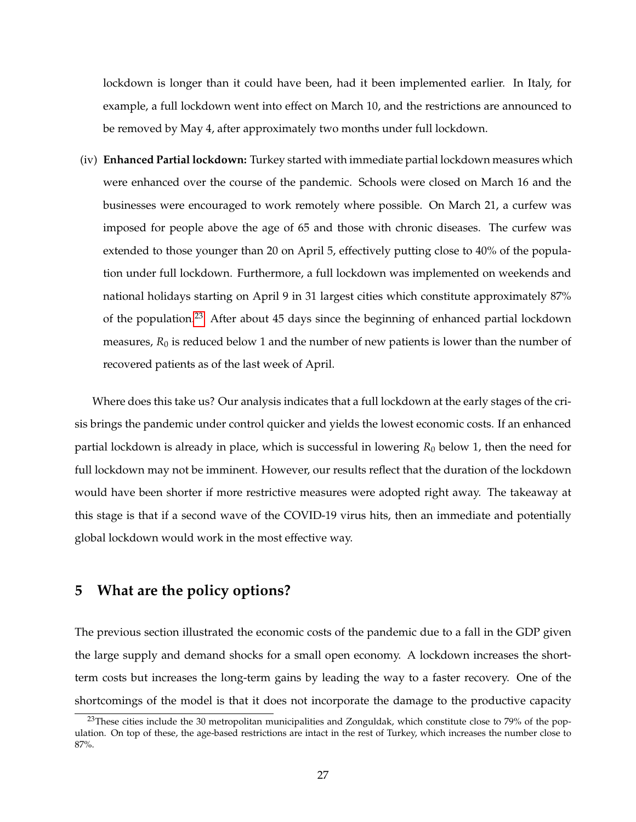lockdown is longer than it could have been, had it been implemented earlier. In Italy, for example, a full lockdown went into effect on March 10, and the restrictions are announced to be removed by May 4, after approximately two months under full lockdown.

(iv) **Enhanced Partial lockdown:** Turkey started with immediate partial lockdown measures which were enhanced over the course of the pandemic. Schools were closed on March 16 and the businesses were encouraged to work remotely where possible. On March 21, a curfew was imposed for people above the age of 65 and those with chronic diseases. The curfew was extended to those younger than 20 on April 5, effectively putting close to 40% of the population under full lockdown. Furthermore, a full lockdown was implemented on weekends and national holidays starting on April 9 in 31 largest cities which constitute approximately 87% of the population.<sup>[23](#page-27-0)</sup> After about 45 days since the beginning of enhanced partial lockdown measures,  $R_0$  is reduced below 1 and the number of new patients is lower than the number of recovered patients as of the last week of April.

Where does this take us? Our analysis indicates that a full lockdown at the early stages of the crisis brings the pandemic under control quicker and yields the lowest economic costs. If an enhanced partial lockdown is already in place, which is successful in lowering *R*<sub>0</sub> below 1, then the need for full lockdown may not be imminent. However, our results reflect that the duration of the lockdown would have been shorter if more restrictive measures were adopted right away. The takeaway at this stage is that if a second wave of the COVID-19 virus hits, then an immediate and potentially global lockdown would work in the most effective way.

# **5 What are the policy options?**

The previous section illustrated the economic costs of the pandemic due to a fall in the GDP given the large supply and demand shocks for a small open economy. A lockdown increases the shortterm costs but increases the long-term gains by leading the way to a faster recovery. One of the shortcomings of the model is that it does not incorporate the damage to the productive capacity

<span id="page-27-0"></span> $^{23}$ These cities include the 30 metropolitan municipalities and Zonguldak, which constitute close to 79% of the population. On top of these, the age-based restrictions are intact in the rest of Turkey, which increases the number close to 87%.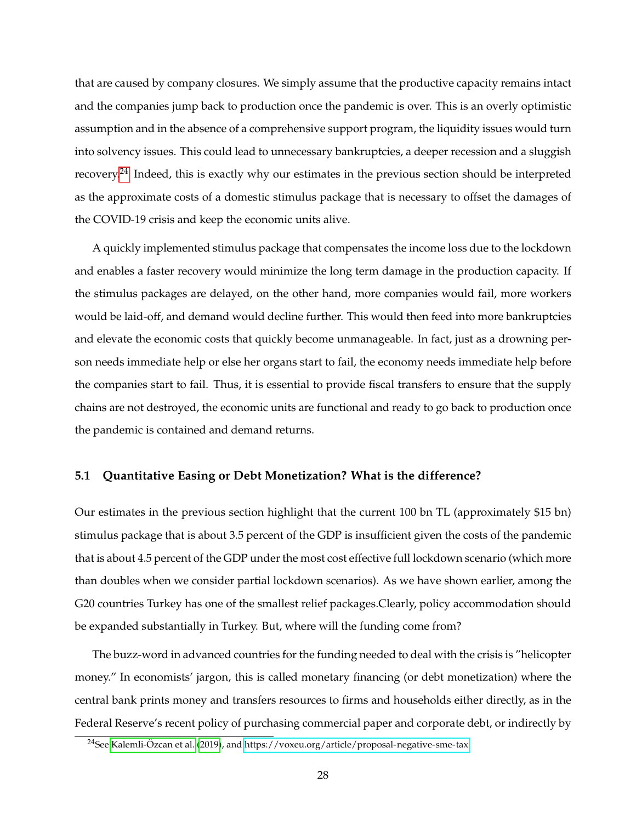that are caused by company closures. We simply assume that the productive capacity remains intact and the companies jump back to production once the pandemic is over. This is an overly optimistic assumption and in the absence of a comprehensive support program, the liquidity issues would turn into solvency issues. This could lead to unnecessary bankruptcies, a deeper recession and a sluggish recovery.[24](#page-28-0) Indeed, this is exactly why our estimates in the previous section should be interpreted as the approximate costs of a domestic stimulus package that is necessary to offset the damages of the COVID-19 crisis and keep the economic units alive.

A quickly implemented stimulus package that compensates the income loss due to the lockdown and enables a faster recovery would minimize the long term damage in the production capacity. If the stimulus packages are delayed, on the other hand, more companies would fail, more workers would be laid-off, and demand would decline further. This would then feed into more bankruptcies and elevate the economic costs that quickly become unmanageable. In fact, just as a drowning person needs immediate help or else her organs start to fail, the economy needs immediate help before the companies start to fail. Thus, it is essential to provide fiscal transfers to ensure that the supply chains are not destroyed, the economic units are functional and ready to go back to production once the pandemic is contained and demand returns.

#### **5.1 Quantitative Easing or Debt Monetization? What is the difference?**

Our estimates in the previous section highlight that the current 100 bn TL (approximately \$15 bn) stimulus package that is about 3.5 percent of the GDP is insufficient given the costs of the pandemic that is about 4.5 percent of the GDP under the most cost effective full lockdown scenario (which more than doubles when we consider partial lockdown scenarios). As we have shown earlier, among the G20 countries Turkey has one of the smallest relief packages.Clearly, policy accommodation should be expanded substantially in Turkey. But, where will the funding come from?

The buzz-word in advanced countries for the funding needed to deal with the crisis is "helicopter money." In economists' jargon, this is called monetary financing (or debt monetization) where the central bank prints money and transfers resources to firms and households either directly, as in the Federal Reserve's recent policy of purchasing commercial paper and corporate debt, or indirectly by

<span id="page-28-0"></span><sup>&</sup>lt;sup>24</sup>See Kalemli-Özcan et al. [\(2019\)](#page-41-12), and<https://voxeu.org/article/proposal-negative-sme-tax>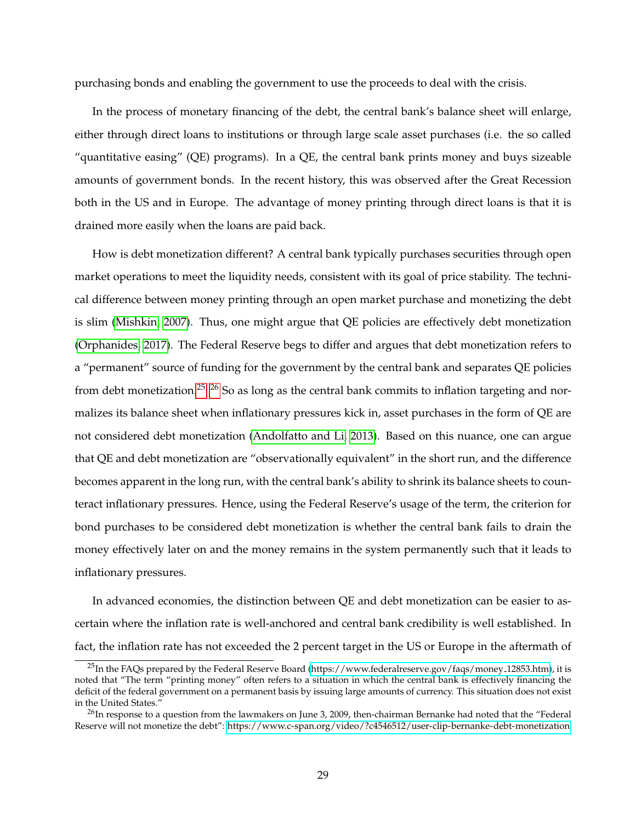purchasing bonds and enabling the government to use the proceeds to deal with the crisis.

In the process of monetary financing of the debt, the central bank's balance sheet will enlarge, either through direct loans to institutions or through large scale asset purchases (i.e. the so called "quantitative easing" (QE) programs). In a QE, the central bank prints money and buys sizeable amounts of government bonds. In the recent history, this was observed after the Great Recession both in the US and in Europe. The advantage of money printing through direct loans is that it is drained more easily when the loans are paid back.

How is debt monetization different? A central bank typically purchases securities through open market operations to meet the liquidity needs, consistent with its goal of price stability. The technical difference between money printing through an open market purchase and monetizing the debt is slim [\(Mishkin, 2007\)](#page-41-13). Thus, one might argue that QE policies are effectively debt monetization [\(Orphanides, 2017\)](#page-42-6). The Federal Reserve begs to differ and argues that debt monetization refers to a "permanent" source of funding for the government by the central bank and separates QE policies from debt monetization.<sup>[25,](#page-29-0) [26](#page-29-1)</sup> So as long as the central bank commits to inflation targeting and normalizes its balance sheet when inflationary pressures kick in, asset purchases in the form of QE are not considered debt monetization [\(Andolfatto and Li, 2013\)](#page-40-13). Based on this nuance, one can argue that QE and debt monetization are "observationally equivalent" in the short run, and the difference becomes apparent in the long run, with the central bank's ability to shrink its balance sheets to counteract inflationary pressures. Hence, using the Federal Reserve's usage of the term, the criterion for bond purchases to be considered debt monetization is whether the central bank fails to drain the money effectively later on and the money remains in the system permanently such that it leads to inflationary pressures.

In advanced economies, the distinction between QE and debt monetization can be easier to ascertain where the inflation rate is well-anchored and central bank credibility is well established. In fact, the inflation rate has not exceeded the 2 percent target in the US or Europe in the aftermath of

<span id="page-29-0"></span> $^{25}$ In the FAQs prepared by the Federal Reserve Board [\(https://www.federalreserve.gov/faqs/money](https://www.federalreserve.gov/faqs/money_12853.htm)\_12853.htm), it is noted that "The term "printing money" often refers to a situation in which the central bank is effectively financing the deficit of the federal government on a permanent basis by issuing large amounts of currency. This situation does not exist in the United States.'

<span id="page-29-1"></span> $^{26}$ In response to a question from the lawmakers on June 3, 2009, then-chairman Bernanke had noted that the "Federal" Reserve will not monetize the debt":<https://www.c-span.org/video/?c4546512/user-clip-bernanke-debt-monetization>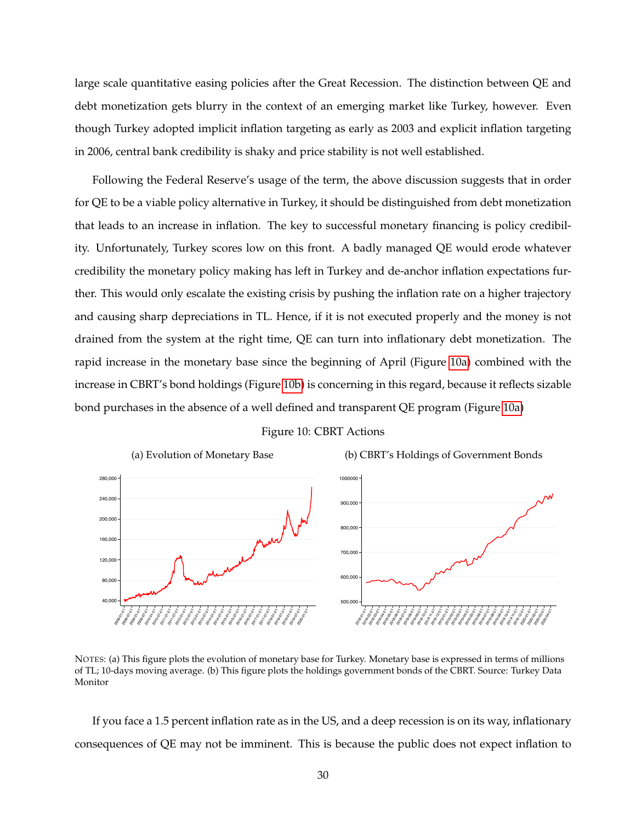large scale quantitative easing policies after the Great Recession. The distinction between QE and debt monetization gets blurry in the context of an emerging market like Turkey, however. Even though Turkey adopted implicit inflation targeting as early as 2003 and explicit inflation targeting in 2006, central bank credibility is shaky and price stability is not well established.

Following the Federal Reserve's usage of the term, the above discussion suggests that in order for QE to be a viable policy alternative in Turkey, it should be distinguished from debt monetization that leads to an increase in inflation. The key to successful monetary financing is policy credibility. Unfortunately, Turkey scores low on this front. A badly managed QE would erode whatever credibility the monetary policy making has left in Turkey and de-anchor inflation expectations further. This would only escalate the existing crisis by pushing the inflation rate on a higher trajectory and causing sharp depreciations in TL. Hence, if it is not executed properly and the money is not drained from the system at the right time, QE can turn into inflationary debt monetization. The rapid increase in the monetary base since the beginning of April (Figure [10a\)](#page-30-0) combined with the increase in CBRT's bond holdings (Figure [10b\)](#page-30-0) is concerning in this regard, because it reflects sizable bond purchases in the absence of a well defined and transparent QE program (Figure [10a\)](#page-30-0)

Figure 10: CBRT Actions

<span id="page-30-0"></span>

NOTES: (a) This figure plots the evolution of monetary base for Turkey. Monetary base is expressed in terms of millions of TL; 10-days moving average. (b) This figure plots the holdings government bonds of the CBRT. Source: Turkey Data Monitor

If you face a 1.5 percent inflation rate as in the US, and a deep recession is on its way, inflationary consequences of QE may not be imminent. This is because the public does not expect inflation to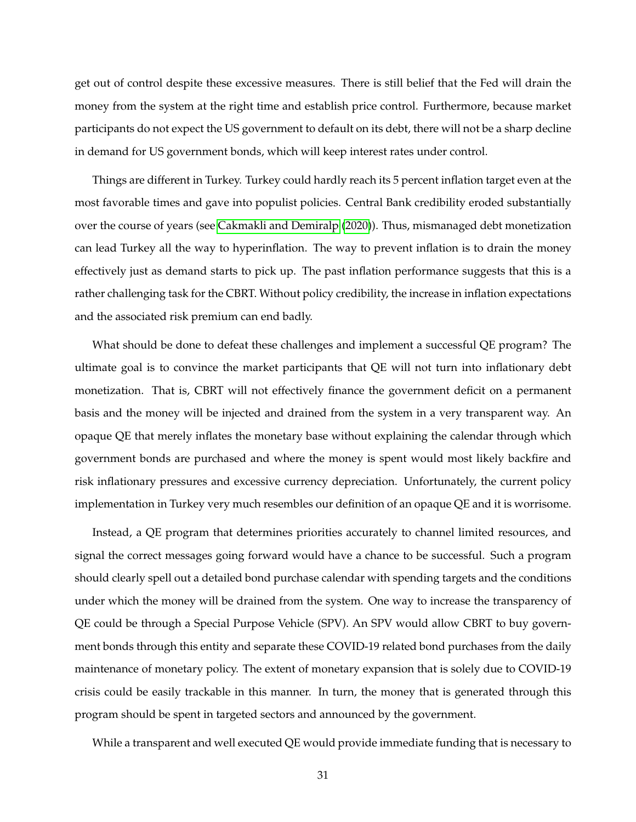get out of control despite these excessive measures. There is still belief that the Fed will drain the money from the system at the right time and establish price control. Furthermore, because market participants do not expect the US government to default on its debt, there will not be a sharp decline in demand for US government bonds, which will keep interest rates under control.

Things are different in Turkey. Turkey could hardly reach its 5 percent inflation target even at the most favorable times and gave into populist policies. Central Bank credibility eroded substantially over the course of years (see [Cakmakli and Demiralp](#page-40-14) [\(2020\)](#page-40-14)). Thus, mismanaged debt monetization can lead Turkey all the way to hyperinflation. The way to prevent inflation is to drain the money effectively just as demand starts to pick up. The past inflation performance suggests that this is a rather challenging task for the CBRT. Without policy credibility, the increase in inflation expectations and the associated risk premium can end badly.

What should be done to defeat these challenges and implement a successful QE program? The ultimate goal is to convince the market participants that QE will not turn into inflationary debt monetization. That is, CBRT will not effectively finance the government deficit on a permanent basis and the money will be injected and drained from the system in a very transparent way. An opaque QE that merely inflates the monetary base without explaining the calendar through which government bonds are purchased and where the money is spent would most likely backfire and risk inflationary pressures and excessive currency depreciation. Unfortunately, the current policy implementation in Turkey very much resembles our definition of an opaque QE and it is worrisome.

Instead, a QE program that determines priorities accurately to channel limited resources, and signal the correct messages going forward would have a chance to be successful. Such a program should clearly spell out a detailed bond purchase calendar with spending targets and the conditions under which the money will be drained from the system. One way to increase the transparency of QE could be through a Special Purpose Vehicle (SPV). An SPV would allow CBRT to buy government bonds through this entity and separate these COVID-19 related bond purchases from the daily maintenance of monetary policy. The extent of monetary expansion that is solely due to COVID-19 crisis could be easily trackable in this manner. In turn, the money that is generated through this program should be spent in targeted sectors and announced by the government.

While a transparent and well executed QE would provide immediate funding that is necessary to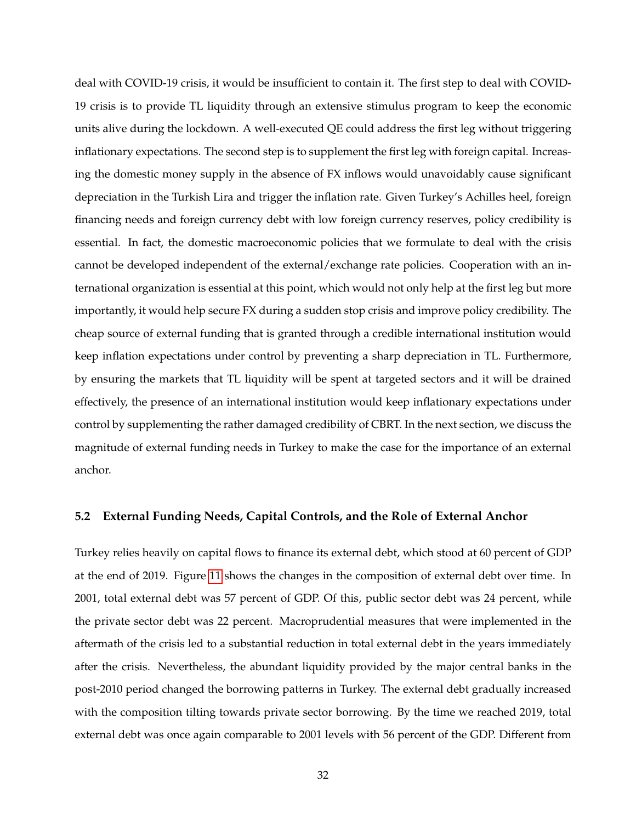deal with COVID-19 crisis, it would be insufficient to contain it. The first step to deal with COVID-19 crisis is to provide TL liquidity through an extensive stimulus program to keep the economic units alive during the lockdown. A well-executed QE could address the first leg without triggering inflationary expectations. The second step is to supplement the first leg with foreign capital. Increasing the domestic money supply in the absence of FX inflows would unavoidably cause significant depreciation in the Turkish Lira and trigger the inflation rate. Given Turkey's Achilles heel, foreign financing needs and foreign currency debt with low foreign currency reserves, policy credibility is essential. In fact, the domestic macroeconomic policies that we formulate to deal with the crisis cannot be developed independent of the external/exchange rate policies. Cooperation with an international organization is essential at this point, which would not only help at the first leg but more importantly, it would help secure FX during a sudden stop crisis and improve policy credibility. The cheap source of external funding that is granted through a credible international institution would keep inflation expectations under control by preventing a sharp depreciation in TL. Furthermore, by ensuring the markets that TL liquidity will be spent at targeted sectors and it will be drained effectively, the presence of an international institution would keep inflationary expectations under control by supplementing the rather damaged credibility of CBRT. In the next section, we discuss the magnitude of external funding needs in Turkey to make the case for the importance of an external anchor.

## **5.2 External Funding Needs, Capital Controls, and the Role of External Anchor**

Turkey relies heavily on capital flows to finance its external debt, which stood at 60 percent of GDP at the end of 2019. Figure [11](#page-33-0) shows the changes in the composition of external debt over time. In 2001, total external debt was 57 percent of GDP. Of this, public sector debt was 24 percent, while the private sector debt was 22 percent. Macroprudential measures that were implemented in the aftermath of the crisis led to a substantial reduction in total external debt in the years immediately after the crisis. Nevertheless, the abundant liquidity provided by the major central banks in the post-2010 period changed the borrowing patterns in Turkey. The external debt gradually increased with the composition tilting towards private sector borrowing. By the time we reached 2019, total external debt was once again comparable to 2001 levels with 56 percent of the GDP. Different from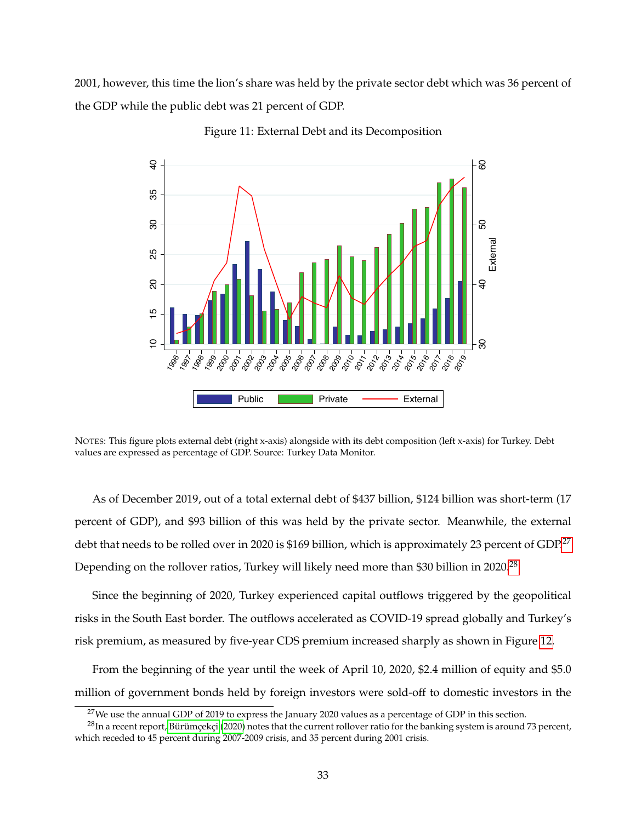<span id="page-33-0"></span>2001, however, this time the lion's share was held by the private sector debt which was 36 percent of the GDP while the public debt was 21 percent of GDP.



Figure 11: External Debt and its Decomposition

NOTES: This figure plots external debt (right x-axis) alongside with its debt composition (left x-axis) for Turkey. Debt values are expressed as percentage of GDP. Source: Turkey Data Monitor.

As of December 2019, out of a total external debt of \$437 billion, \$124 billion was short-term (17 percent of GDP), and \$93 billion of this was held by the private sector. Meanwhile, the external debt that needs to be rolled over in 2020 is \$169 billion, which is approximately 23 percent of GDP.<sup>[27](#page-33-1)</sup> Depending on the rollover ratios, Turkey will likely need more than \$30 billion in 2020.<sup>[28](#page-33-2)</sup>

Since the beginning of 2020, Turkey experienced capital outflows triggered by the geopolitical risks in the South East border. The outflows accelerated as COVID-19 spread globally and Turkey's risk premium, as measured by five-year CDS premium increased sharply as shown in Figure [12.](#page-34-0)

From the beginning of the year until the week of April 10, 2020, \$2.4 million of equity and \$5.0 million of government bonds held by foreign investors were sold-off to domestic investors in the

<span id="page-33-2"></span><span id="page-33-1"></span><sup>&</sup>lt;sup>27</sup>We use the annual GDP of 2019 to express the January 2020 values as a percentage of GDP in this section.

 $^{28}$ In a recent report, Bürümcekci [\(2020\)](#page-40-15) notes that the current rollover ratio for the banking system is around 73 percent, which receded to 45 percent during 2007-2009 crisis, and 35 percent during 2001 crisis.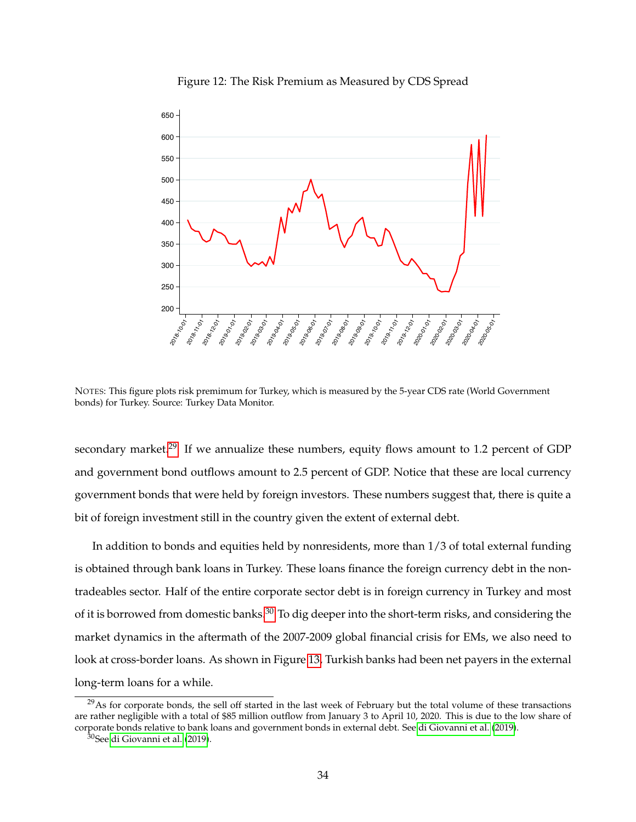<span id="page-34-0"></span>

Figure 12: The Risk Premium as Measured by CDS Spread

NOTES: This figure plots risk premimum for Turkey, which is measured by the 5-year CDS rate (World Government bonds) for Turkey. Source: Turkey Data Monitor.

secondary market.<sup>[29](#page-34-1)</sup> If we annualize these numbers, equity flows amount to 1.2 percent of GDP and government bond outflows amount to 2.5 percent of GDP. Notice that these are local currency government bonds that were held by foreign investors. These numbers suggest that, there is quite a bit of foreign investment still in the country given the extent of external debt.

In addition to bonds and equities held by nonresidents, more than 1/3 of total external funding is obtained through bank loans in Turkey. These loans finance the foreign currency debt in the nontradeables sector. Half of the entire corporate sector debt is in foreign currency in Turkey and most of it is borrowed from domestic banks.<sup>[30](#page-34-2)</sup> To dig deeper into the short-term risks, and considering the market dynamics in the aftermath of the 2007-2009 global financial crisis for EMs, we also need to look at cross-border loans. As shown in Figure [13,](#page-35-0) Turkish banks had been net payers in the external long-term loans for a while.

<span id="page-34-1"></span><sup>&</sup>lt;sup>29</sup>As for corporate bonds, the sell off started in the last week of February but the total volume of these transactions are rather negligible with a total of \$85 million outflow from January 3 to April 10, 2020. This is due to the low share of corporate bonds relative to bank loans and government bonds in external debt. See [di Giovanni et al.](#page-40-16) [\(2019\)](#page-40-16).

<span id="page-34-2"></span><sup>&</sup>lt;sup>30</sup>See [di Giovanni et al.](#page-40-16) [\(2019\)](#page-40-16).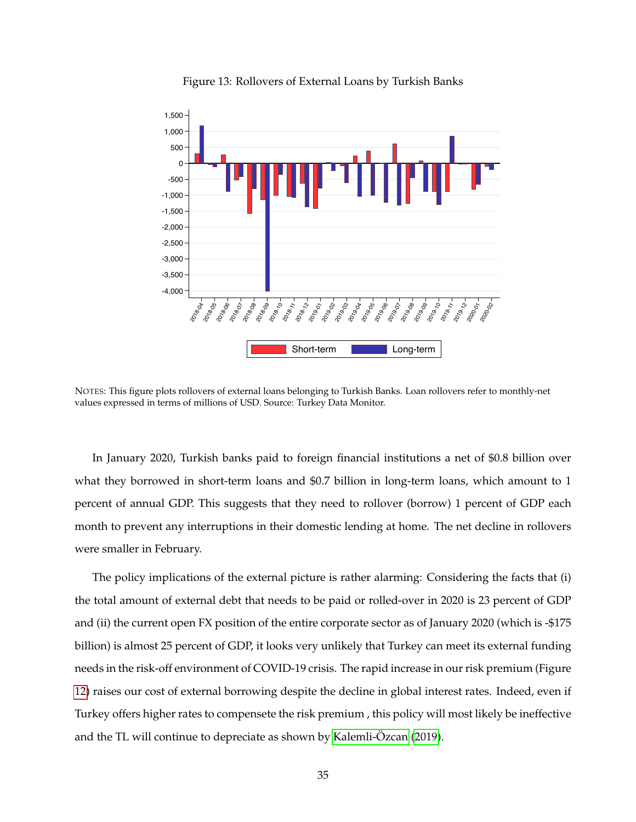<span id="page-35-0"></span>

Figure 13: Rollovers of External Loans by Turkish Banks

NOTES: This figure plots rollovers of external loans belonging to Turkish Banks. Loan rollovers refer to monthly-net values expressed in terms of millions of USD. Source: Turkey Data Monitor.

In January 2020, Turkish banks paid to foreign financial institutions a net of \$0.8 billion over what they borrowed in short-term loans and \$0.7 billion in long-term loans, which amount to 1 percent of annual GDP. This suggests that they need to rollover (borrow) 1 percent of GDP each month to prevent any interruptions in their domestic lending at home. The net decline in rollovers were smaller in February.

The policy implications of the external picture is rather alarming: Considering the facts that (i) the total amount of external debt that needs to be paid or rolled-over in 2020 is 23 percent of GDP and (ii) the current open FX position of the entire corporate sector as of January 2020 (which is -\$175 billion) is almost 25 percent of GDP, it looks very unlikely that Turkey can meet its external funding needs in the risk-off environment of COVID-19 crisis. The rapid increase in our risk premium (Figure [12\)](#page-34-0) raises our cost of external borrowing despite the decline in global interest rates. Indeed, even if Turkey offers higher rates to compensete the risk premium , this policy will most likely be ineffective and the TL will continue to depreciate as shown by Kalemli-Özcan [\(2019\)](#page-41-14).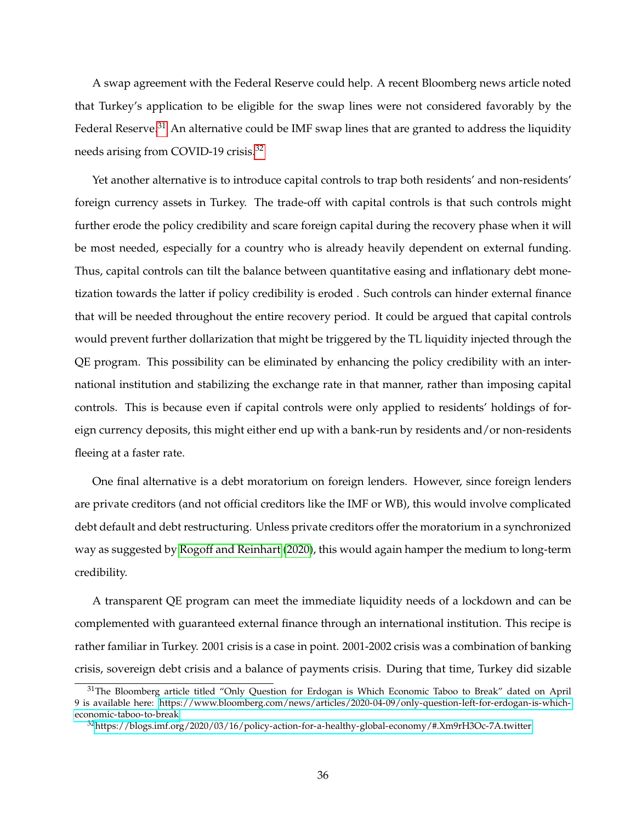A swap agreement with the Federal Reserve could help. A recent Bloomberg news article noted that Turkey's application to be eligible for the swap lines were not considered favorably by the Federal Reserve.<sup>[31](#page-36-0)</sup> An alternative could be IMF swap lines that are granted to address the liquidity needs arising from COVID-19 crisis.<sup>[32](#page-36-1)</sup>

Yet another alternative is to introduce capital controls to trap both residents' and non-residents' foreign currency assets in Turkey. The trade-off with capital controls is that such controls might further erode the policy credibility and scare foreign capital during the recovery phase when it will be most needed, especially for a country who is already heavily dependent on external funding. Thus, capital controls can tilt the balance between quantitative easing and inflationary debt monetization towards the latter if policy credibility is eroded . Such controls can hinder external finance that will be needed throughout the entire recovery period. It could be argued that capital controls would prevent further dollarization that might be triggered by the TL liquidity injected through the QE program. This possibility can be eliminated by enhancing the policy credibility with an international institution and stabilizing the exchange rate in that manner, rather than imposing capital controls. This is because even if capital controls were only applied to residents' holdings of foreign currency deposits, this might either end up with a bank-run by residents and/or non-residents fleeing at a faster rate.

One final alternative is a debt moratorium on foreign lenders. However, since foreign lenders are private creditors (and not official creditors like the IMF or WB), this would involve complicated debt default and debt restructuring. Unless private creditors offer the moratorium in a synchronized way as suggested by [Rogoff and Reinhart](#page-42-7) [\(2020\)](#page-42-7), this would again hamper the medium to long-term credibility.

A transparent QE program can meet the immediate liquidity needs of a lockdown and can be complemented with guaranteed external finance through an international institution. This recipe is rather familiar in Turkey. 2001 crisis is a case in point. 2001-2002 crisis was a combination of banking crisis, sovereign debt crisis and a balance of payments crisis. During that time, Turkey did sizable

<span id="page-36-0"></span><sup>&</sup>lt;sup>31</sup>The Bloomberg article titled "Only Question for Erdogan is Which Economic Taboo to Break" dated on April 9 is available here: [https://www.bloomberg.com/news/articles/2020-04-09/only-question-left-for-erdogan-is-which](https://www.bloomberg.com/news/articles/2020-04-09/only-question-left-for-erdogan-is-which-economic-taboo-to-break)[economic-taboo-to-break](https://www.bloomberg.com/news/articles/2020-04-09/only-question-left-for-erdogan-is-which-economic-taboo-to-break)

<span id="page-36-1"></span><sup>32</sup>[https://blogs.imf.org/2020/03/16/policy-action-for-a-healthy-global-economy/#.Xm9rH3Oc-7A.twitter]( https://blogs.imf.org/2020/03/16/policy-action-for-a-healthy-global-economy/#.Xm9rH3Oc-7A.twitter)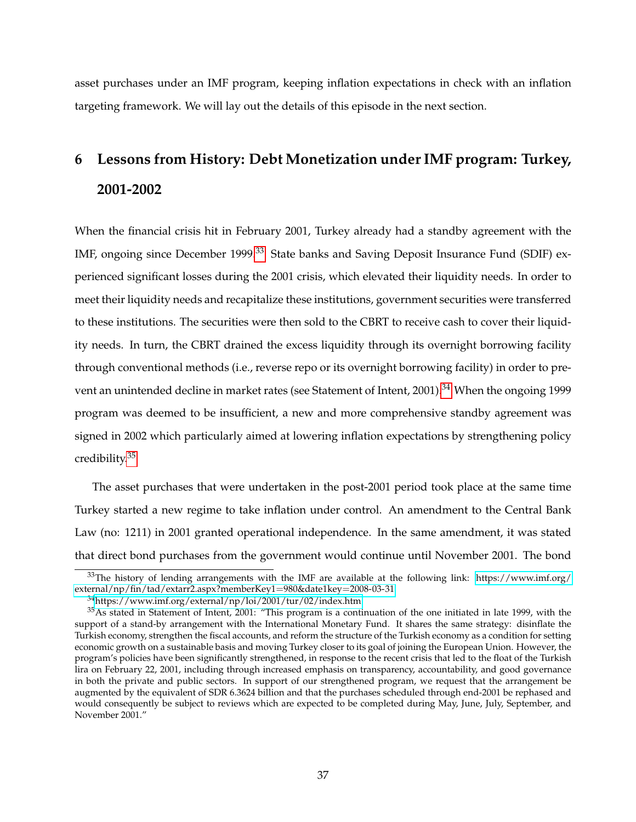asset purchases under an IMF program, keeping inflation expectations in check with an inflation targeting framework. We will lay out the details of this episode in the next section.

# **6 Lessons from History: Debt Monetization under IMF program: Turkey, 2001-2002**

When the financial crisis hit in February 2001, Turkey already had a standby agreement with the IMF, ongoing since December 1999.<sup>[33](#page-37-0)</sup> State banks and Saving Deposit Insurance Fund (SDIF) experienced significant losses during the 2001 crisis, which elevated their liquidity needs. In order to meet their liquidity needs and recapitalize these institutions, government securities were transferred to these institutions. The securities were then sold to the CBRT to receive cash to cover their liquidity needs. In turn, the CBRT drained the excess liquidity through its overnight borrowing facility through conventional methods (i.e., reverse repo or its overnight borrowing facility) in order to pre-vent an unintended decline in market rates (see Statement of Intent, 2001).<sup>[34](#page-37-1)</sup> When the ongoing 1999 program was deemed to be insufficient, a new and more comprehensive standby agreement was signed in 2002 which particularly aimed at lowering inflation expectations by strengthening policy credibility.[35](#page-37-2)

The asset purchases that were undertaken in the post-2001 period took place at the same time Turkey started a new regime to take inflation under control. An amendment to the Central Bank Law (no: 1211) in 2001 granted operational independence. In the same amendment, it was stated that direct bond purchases from the government would continue until November 2001. The bond

<span id="page-37-0"></span> $33$ The history of lending arrangements with the IMF are available at the following link: [https://www.imf.org/](https://www.imf.org/external/np/fin/tad/extarr2.aspx?memberKey1=980&date1key=2008-03-31) [external/np/fin/tad/extarr2.aspx?memberKey1](https://www.imf.org/external/np/fin/tad/extarr2.aspx?memberKey1=980&date1key=2008-03-31)=980&date1key=2008-03-31

<span id="page-37-2"></span><span id="page-37-1"></span><sup>34</sup><https://www.imf.org/external/np/loi/2001/tur/02/index.htm>

<sup>35</sup>As stated in Statement of Intent, 2001: "This program is a continuation of the one initiated in late 1999, with the support of a stand-by arrangement with the International Monetary Fund. It shares the same strategy: disinflate the Turkish economy, strengthen the fiscal accounts, and reform the structure of the Turkish economy as a condition for setting economic growth on a sustainable basis and moving Turkey closer to its goal of joining the European Union. However, the program's policies have been significantly strengthened, in response to the recent crisis that led to the float of the Turkish lira on February 22, 2001, including through increased emphasis on transparency, accountability, and good governance in both the private and public sectors. In support of our strengthened program, we request that the arrangement be augmented by the equivalent of SDR 6.3624 billion and that the purchases scheduled through end-2001 be rephased and would consequently be subject to reviews which are expected to be completed during May, June, July, September, and November 2001."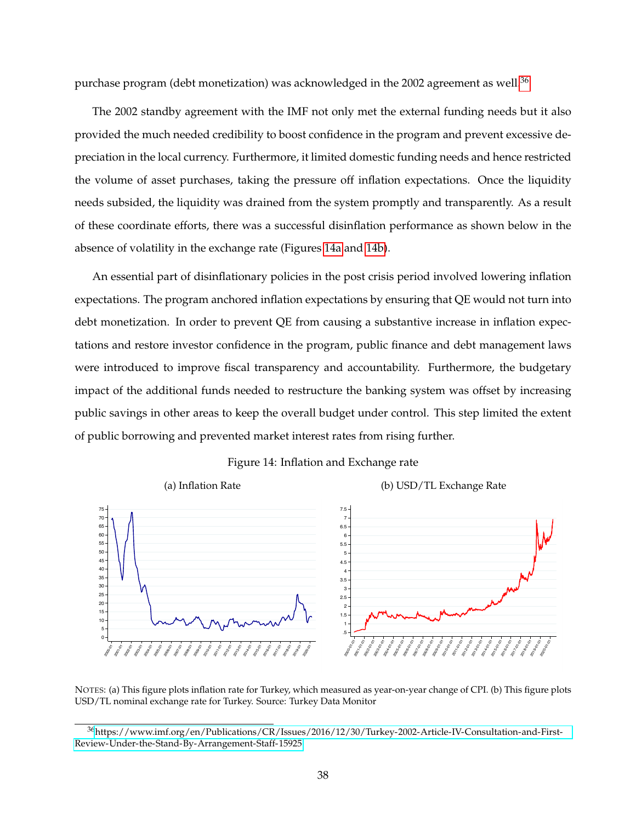purchase program (debt monetization) was acknowledged in the 2002 agreement as well.<sup>[36](#page-38-0)</sup>

The 2002 standby agreement with the IMF not only met the external funding needs but it also provided the much needed credibility to boost confidence in the program and prevent excessive depreciation in the local currency. Furthermore, it limited domestic funding needs and hence restricted the volume of asset purchases, taking the pressure off inflation expectations. Once the liquidity needs subsided, the liquidity was drained from the system promptly and transparently. As a result of these coordinate efforts, there was a successful disinflation performance as shown below in the absence of volatility in the exchange rate (Figures [14a](#page-38-1) and [14b\)](#page-38-1).

An essential part of disinflationary policies in the post crisis period involved lowering inflation expectations. The program anchored inflation expectations by ensuring that QE would not turn into debt monetization. In order to prevent QE from causing a substantive increase in inflation expectations and restore investor confidence in the program, public finance and debt management laws were introduced to improve fiscal transparency and accountability. Furthermore, the budgetary impact of the additional funds needed to restructure the banking system was offset by increasing public savings in other areas to keep the overall budget under control. This step limited the extent of public borrowing and prevented market interest rates from rising further.

#### Figure 14: Inflation and Exchange rate

<span id="page-38-1"></span>

NOTES: (a) This figure plots inflation rate for Turkey, which measured as year-on-year change of CPI. (b) This figure plots USD/TL nominal exchange rate for Turkey. Source: Turkey Data Monitor

<span id="page-38-0"></span><sup>36</sup>[https://www.imf.org/en/Publications/CR/Issues/2016/12/30/Turkey-2002-Article-IV-Consultation-and-First-](https://www.imf.org/en/Publications/CR/Issues/2016/12/30/Turkey-2002-Article-IV-Consultation-and-First-Review-Under-the-Stand-By-Arrangement-Staff-15925)[Review-Under-the-Stand-By-Arrangement-Staff-15925](https://www.imf.org/en/Publications/CR/Issues/2016/12/30/Turkey-2002-Article-IV-Consultation-and-First-Review-Under-the-Stand-By-Arrangement-Staff-15925)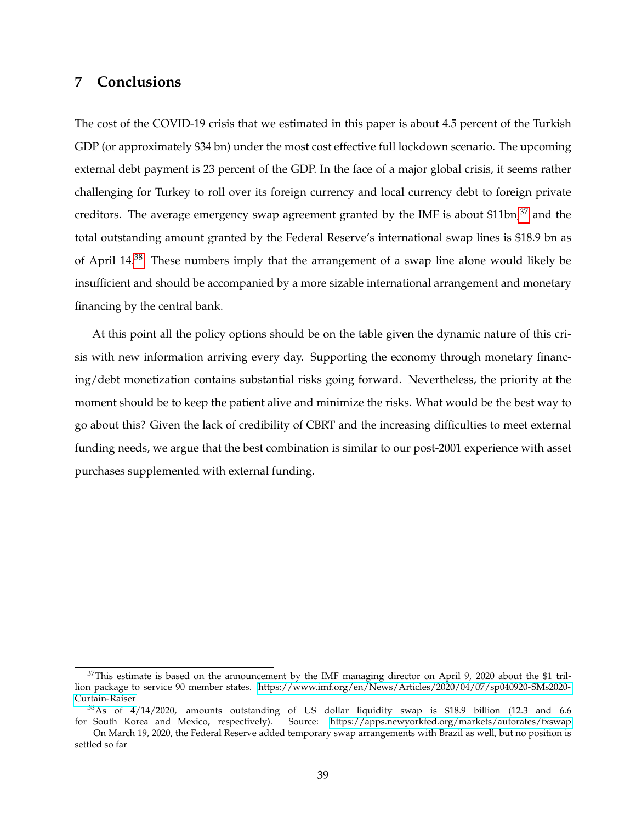# **7 Conclusions**

The cost of the COVID-19 crisis that we estimated in this paper is about 4.5 percent of the Turkish GDP (or approximately \$34 bn) under the most cost effective full lockdown scenario. The upcoming external debt payment is 23 percent of the GDP. In the face of a major global crisis, it seems rather challenging for Turkey to roll over its foreign currency and local currency debt to foreign private creditors. The average emergency swap agreement granted by the IMF is about \$11bn, $37$  and the total outstanding amount granted by the Federal Reserve's international swap lines is \$18.9 bn as of April 14.[38](#page-39-1) These numbers imply that the arrangement of a swap line alone would likely be insufficient and should be accompanied by a more sizable international arrangement and monetary financing by the central bank.

At this point all the policy options should be on the table given the dynamic nature of this crisis with new information arriving every day. Supporting the economy through monetary financing/debt monetization contains substantial risks going forward. Nevertheless, the priority at the moment should be to keep the patient alive and minimize the risks. What would be the best way to go about this? Given the lack of credibility of CBRT and the increasing difficulties to meet external funding needs, we argue that the best combination is similar to our post-2001 experience with asset purchases supplemented with external funding.

<span id="page-39-0"></span><sup>&</sup>lt;sup>37</sup>This estimate is based on the announcement by the IMF managing director on April 9, 2020 about the \$1 trillion package to service 90 member states. [https://www.imf.org/en/News/Articles/2020/04/07/sp040920-SMs2020-](https://www.imf.org/en/News/Articles/2020/04/07/sp040920-SMs2020-Curtain-Raiser) [Curtain-Raiser](https://www.imf.org/en/News/Articles/2020/04/07/sp040920-SMs2020-Curtain-Raiser)

<span id="page-39-1"></span><sup>38</sup>As of 4/14/2020, amounts outstanding of US dollar liquidity swap is \$18.9 billion (12.3 and 6.6 for South Korea and Mexico, respectively). Source:<https://apps.newyorkfed.org/markets/autorates/fxswap>

On March 19, 2020, the Federal Reserve added temporary swap arrangements with Brazil as well, but no position is settled so far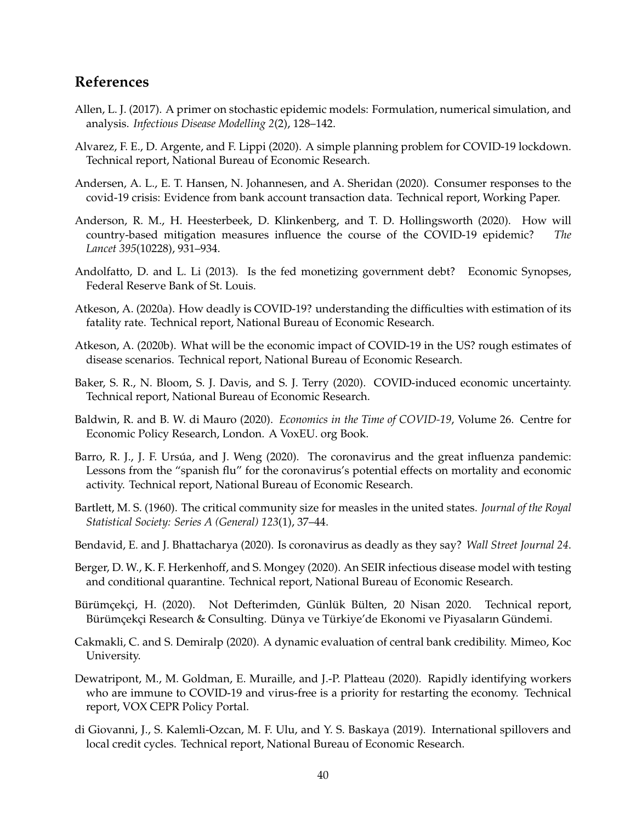# **References**

- <span id="page-40-11"></span>Allen, L. J. (2017). A primer on stochastic epidemic models: Formulation, numerical simulation, and analysis. *Infectious Disease Modelling 2*(2), 128–142.
- <span id="page-40-8"></span>Alvarez, F. E., D. Argente, and F. Lippi (2020). A simple planning problem for COVID-19 lockdown. Technical report, National Bureau of Economic Research.
- <span id="page-40-10"></span>Andersen, A. L., E. T. Hansen, N. Johannesen, and A. Sheridan (2020). Consumer responses to the covid-19 crisis: Evidence from bank account transaction data. Technical report, Working Paper.
- <span id="page-40-5"></span>Anderson, R. M., H. Heesterbeek, D. Klinkenberg, and T. D. Hollingsworth (2020). How will country-based mitigation measures influence the course of the COVID-19 epidemic? *The Lancet 395*(10228), 931–934.
- <span id="page-40-13"></span>Andolfatto, D. and L. Li (2013). Is the fed monetizing government debt? Economic Synopses, Federal Reserve Bank of St. Louis.
- <span id="page-40-2"></span>Atkeson, A. (2020a). How deadly is COVID-19? understanding the difficulties with estimation of its fatality rate. Technical report, National Bureau of Economic Research.
- <span id="page-40-6"></span>Atkeson, A. (2020b). What will be the economic impact of COVID-19 in the US? rough estimates of disease scenarios. Technical report, National Bureau of Economic Research.
- <span id="page-40-1"></span>Baker, S. R., N. Bloom, S. J. Davis, and S. J. Terry (2020). COVID-induced economic uncertainty. Technical report, National Bureau of Economic Research.
- <span id="page-40-0"></span>Baldwin, R. and B. W. di Mauro (2020). *Economics in the Time of COVID-19*, Volume 26. Centre for Economic Policy Research, London. A VoxEU. org Book.
- <span id="page-40-9"></span>Barro, R. J., J. F. Ursúa, and J. Weng (2020). The coronavirus and the great influenza pandemic: Lessons from the "spanish flu" for the coronavirus's potential effects on mortality and economic activity. Technical report, National Bureau of Economic Research.
- <span id="page-40-12"></span>Bartlett, M. S. (1960). The critical community size for measles in the united states. *Journal of the Royal Statistical Society: Series A (General) 123*(1), 37–44.
- <span id="page-40-3"></span>Bendavid, E. and J. Bhattacharya (2020). Is coronavirus as deadly as they say? *Wall Street Journal 24*.
- <span id="page-40-7"></span>Berger, D. W., K. F. Herkenhoff, and S. Mongey (2020). An SEIR infectious disease model with testing and conditional quarantine. Technical report, National Bureau of Economic Research.
- <span id="page-40-15"></span>Bürümçekçi, H. (2020). Not Defterimden, Günlük Bülten, 20 Nisan 2020. Technical report, Bürümçekçi Research & Consulting. Dünya ve Türkiye'de Ekonomi ve Piyasaların Gündemi.
- <span id="page-40-14"></span>Cakmakli, C. and S. Demiralp (2020). A dynamic evaluation of central bank credibility. Mimeo, Koc University.
- <span id="page-40-4"></span>Dewatripont, M., M. Goldman, E. Muraille, and J.-P. Platteau (2020). Rapidly identifying workers who are immune to COVID-19 and virus-free is a priority for restarting the economy. Technical report, VOX CEPR Policy Portal.
- <span id="page-40-16"></span>di Giovanni, J., S. Kalemli-Ozcan, M. F. Ulu, and Y. S. Baskaya (2019). International spillovers and local credit cycles. Technical report, National Bureau of Economic Research.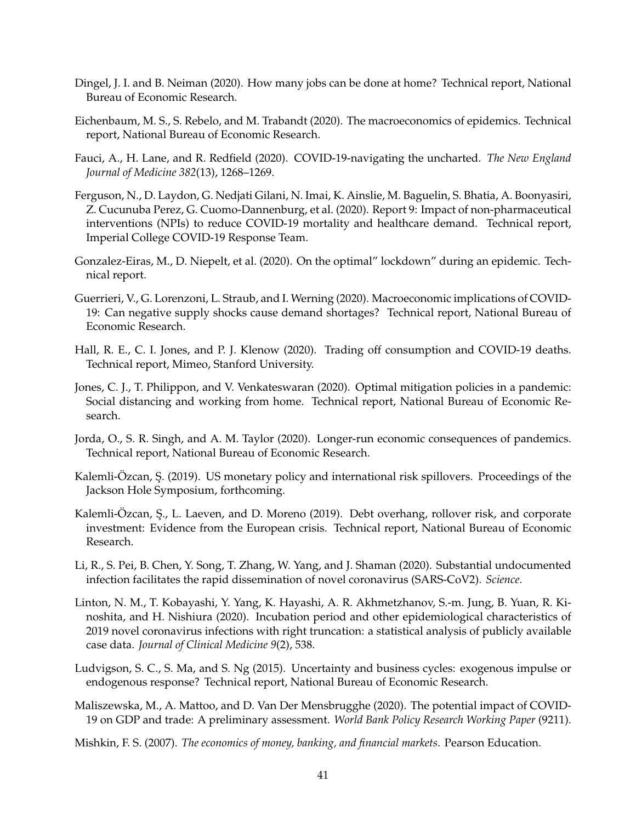- <span id="page-41-11"></span>Dingel, J. I. and B. Neiman (2020). How many jobs can be done at home? Technical report, National Bureau of Economic Research.
- <span id="page-41-4"></span>Eichenbaum, M. S., S. Rebelo, and M. Trabandt (2020). The macroeconomics of epidemics. Technical report, National Bureau of Economic Research.
- <span id="page-41-1"></span>Fauci, A., H. Lane, and R. Redfield (2020). COVID-19-navigating the uncharted. *The New England Journal of Medicine 382*(13), 1268–1269.
- <span id="page-41-5"></span>Ferguson, N., D. Laydon, G. Nedjati Gilani, N. Imai, K. Ainslie, M. Baguelin, S. Bhatia, A. Boonyasiri, Z. Cucunuba Perez, G. Cuomo-Dannenburg, et al. (2020). Report 9: Impact of non-pharmaceutical interventions (NPIs) to reduce COVID-19 mortality and healthcare demand. Technical report, Imperial College COVID-19 Response Team.
- <span id="page-41-8"></span>Gonzalez-Eiras, M., D. Niepelt, et al. (2020). On the optimal" lockdown" during an epidemic. Technical report.
- <span id="page-41-9"></span>Guerrieri, V., G. Lorenzoni, L. Straub, and I. Werning (2020). Macroeconomic implications of COVID-19: Can negative supply shocks cause demand shortages? Technical report, National Bureau of Economic Research.
- <span id="page-41-6"></span>Hall, R. E., C. I. Jones, and P. J. Klenow (2020). Trading off consumption and COVID-19 deaths. Technical report, Mimeo, Stanford University.
- <span id="page-41-7"></span>Jones, C. J., T. Philippon, and V. Venkateswaran (2020). Optimal mitigation policies in a pandemic: Social distancing and working from home. Technical report, National Bureau of Economic Research.
- <span id="page-41-10"></span>Jorda, O., S. R. Singh, and A. M. Taylor (2020). Longer-run economic consequences of pandemics. Technical report, National Bureau of Economic Research.
- <span id="page-41-14"></span>Kalemli-Ozcan, Ş. (2019). US monetary policy and international risk spillovers. Proceedings of the Jackson Hole Symposium, forthcoming.
- <span id="page-41-12"></span>Kalemli-Özcan, S., L. Laeven, and D. Moreno (2019). Debt overhang, rollover risk, and corporate investment: Evidence from the European crisis. Technical report, National Bureau of Economic Research.
- <span id="page-41-2"></span>Li, R., S. Pei, B. Chen, Y. Song, T. Zhang, W. Yang, and J. Shaman (2020). Substantial undocumented infection facilitates the rapid dissemination of novel coronavirus (SARS-CoV2). *Science*.
- <span id="page-41-3"></span>Linton, N. M., T. Kobayashi, Y. Yang, K. Hayashi, A. R. Akhmetzhanov, S.-m. Jung, B. Yuan, R. Kinoshita, and H. Nishiura (2020). Incubation period and other epidemiological characteristics of 2019 novel coronavirus infections with right truncation: a statistical analysis of publicly available case data. *Journal of Clinical Medicine 9*(2), 538.
- <span id="page-41-0"></span>Ludvigson, S. C., S. Ma, and S. Ng (2015). Uncertainty and business cycles: exogenous impulse or endogenous response? Technical report, National Bureau of Economic Research.
- <span id="page-41-15"></span>Maliszewska, M., A. Mattoo, and D. Van Der Mensbrugghe (2020). The potential impact of COVID-19 on GDP and trade: A preliminary assessment. *World Bank Policy Research Working Paper* (9211).
- <span id="page-41-13"></span>Mishkin, F. S. (2007). *The economics of money, banking, and financial markets*. Pearson Education.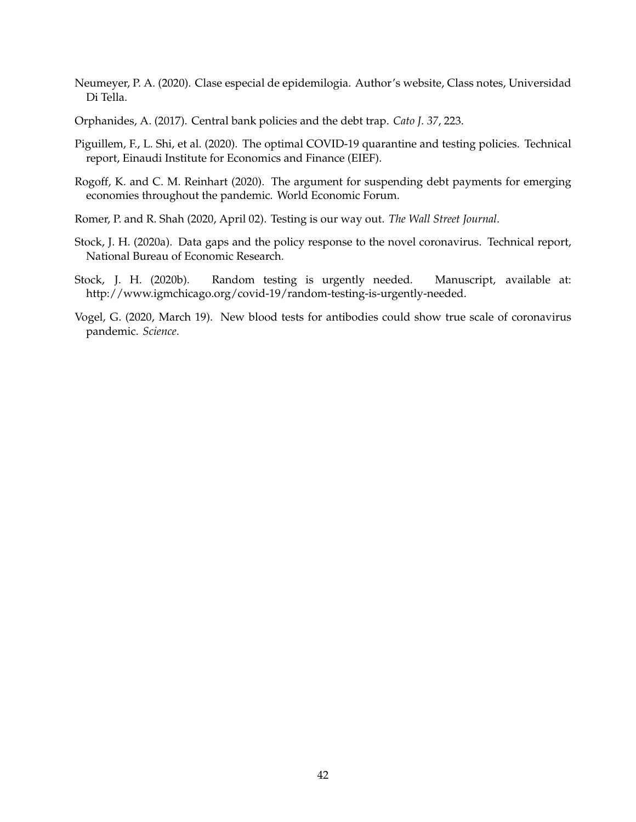- <span id="page-42-2"></span>Neumeyer, P. A. (2020). Clase especial de epidemilogia. Author's website, Class notes, Universidad Di Tella.
- <span id="page-42-6"></span>Orphanides, A. (2017). Central bank policies and the debt trap. *Cato J. 37*, 223.
- <span id="page-42-3"></span>Piguillem, F., L. Shi, et al. (2020). The optimal COVID-19 quarantine and testing policies. Technical report, Einaudi Institute for Economics and Finance (EIEF).
- <span id="page-42-7"></span>Rogoff, K. and C. M. Reinhart (2020). The argument for suspending debt payments for emerging economies throughout the pandemic. World Economic Forum.
- <span id="page-42-4"></span>Romer, P. and R. Shah (2020, April 02). Testing is our way out. *The Wall Street Journal*.
- <span id="page-42-1"></span>Stock, J. H. (2020a). Data gaps and the policy response to the novel coronavirus. Technical report, National Bureau of Economic Research.
- <span id="page-42-5"></span>Stock, J. H. (2020b). Random testing is urgently needed. Manuscript, available at: http://www.igmchicago.org/covid-19/random-testing-is-urgently-needed.
- <span id="page-42-0"></span>Vogel, G. (2020, March 19). New blood tests for antibodies could show true scale of coronavirus pandemic. *Science*.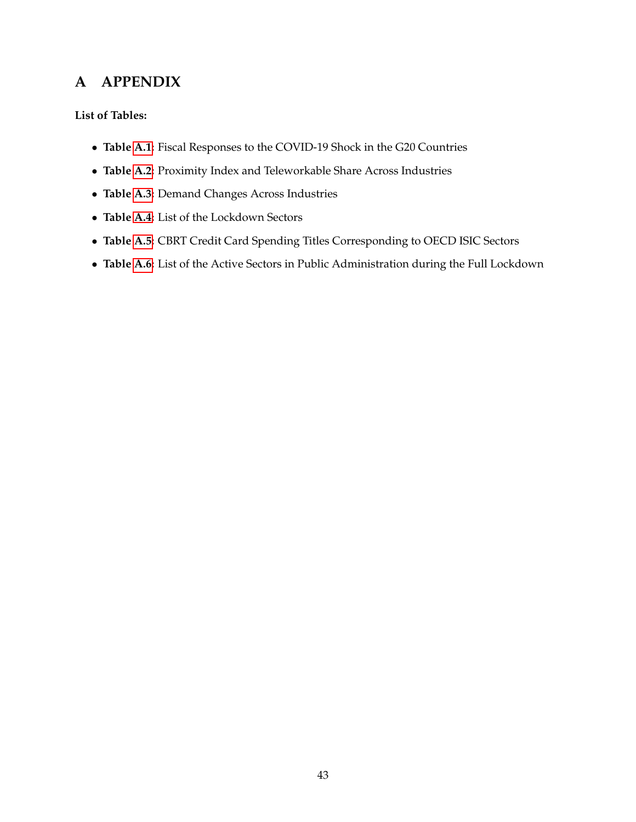# **A APPENDIX**

## **List of Tables:**

- **Table [A.1:](#page-44-0)** Fiscal Responses to the COVID-19 Shock in the G20 Countries
- **Table [A.2:](#page-45-0)** Proximity Index and Teleworkable Share Across Industries
- **Table [A.3:](#page-46-0)** Demand Changes Across Industries
- **Table [A.4:](#page-47-0)** List of the Lockdown Sectors
- **Table [A.5:](#page-48-0)** CBRT Credit Card Spending Titles Corresponding to OECD ISIC Sectors
- **Table [A.6:](#page-48-1)** List of the Active Sectors in Public Administration during the Full Lockdown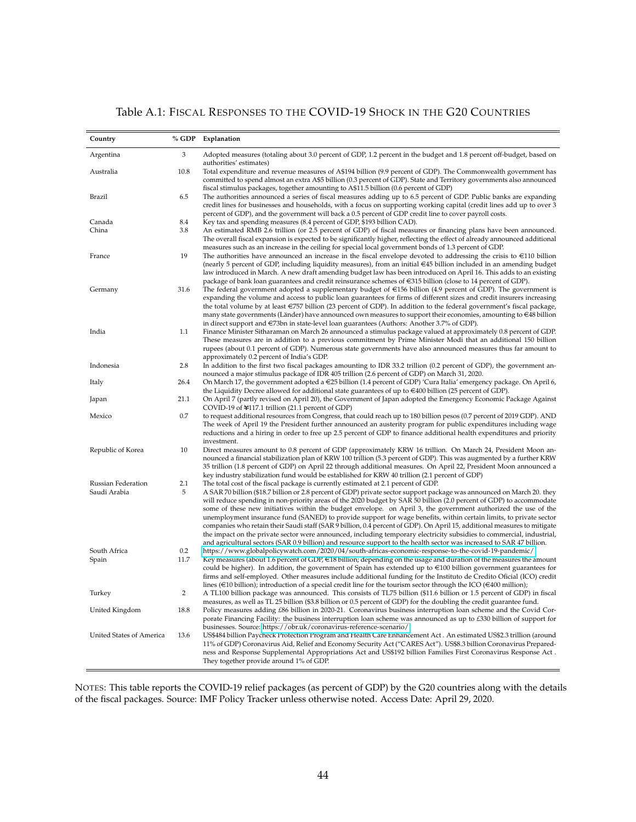## Table A.1: FISCAL RESPONSES TO THE COVID-19 SHOCK IN THE G20 COUNTRIES

<span id="page-44-0"></span>

| Country                  | % GDP          | Explanation                                                                                                                                                                                                                                                                                                                                                                                                                                                                                                                                                                                                                                                                                                                               |
|--------------------------|----------------|-------------------------------------------------------------------------------------------------------------------------------------------------------------------------------------------------------------------------------------------------------------------------------------------------------------------------------------------------------------------------------------------------------------------------------------------------------------------------------------------------------------------------------------------------------------------------------------------------------------------------------------------------------------------------------------------------------------------------------------------|
| Argentina                | 3              | Adopted measures (totaling about 3.0 percent of GDP, 1.2 percent in the budget and 1.8 percent off-budget, based on<br>authorities' estimates)                                                                                                                                                                                                                                                                                                                                                                                                                                                                                                                                                                                            |
| Australia                | 10.8           | Total expenditure and revenue measures of A\$194 billion (9.9 percent of GDP). The Commonwealth government has<br>committed to spend almost an extra A\$5 billion (0.3 percent of GDP). State and Territory governments also announced                                                                                                                                                                                                                                                                                                                                                                                                                                                                                                    |
| Brazil                   | 6.5            | fiscal stimulus packages, together amounting to A\$11.5 billion (0.6 percent of GDP)<br>The authorities announced a series of fiscal measures adding up to 6.5 percent of GDP. Public banks are expanding<br>credit lines for businesses and households, with a focus on supporting working capital (credit lines add up to over 3                                                                                                                                                                                                                                                                                                                                                                                                        |
| Canada                   | 8.4            | percent of GDP), and the government will back a 0.5 percent of GDP credit line to cover payroll costs.<br>Key tax and spending measures (8.4 percent of GDP, \$193 billion CAD).                                                                                                                                                                                                                                                                                                                                                                                                                                                                                                                                                          |
| China                    | 3.8            | An estimated RMB 2.6 trillion (or 2.5 percent of GDP) of fiscal measures or financing plans have been announced.                                                                                                                                                                                                                                                                                                                                                                                                                                                                                                                                                                                                                          |
| France                   | 19             | The overall fiscal expansion is expected to be significantly higher, reflecting the effect of already announced additional<br>measures such as an increase in the ceiling for special local government bonds of 1.3 percent of GDP.<br>The authorities have announced an increase in the fiscal envelope devoted to addressing the crisis to $\in$ 110 billion                                                                                                                                                                                                                                                                                                                                                                            |
| Germany                  | 31.6           | (nearly 5 percent of GDP, including liquidity measures), from an initial $\in$ 45 billion included in an amending budget<br>law introduced in March. A new draft amending budget law has been introduced on April 16. This adds to an existing<br>package of bank loan guarantees and credit reinsurance schemes of €315 billion (close to 14 percent of GDP).<br>The federal government adopted a supplementary budget of $\epsilon$ 156 billion (4.9 percent of GDP). The government is                                                                                                                                                                                                                                                 |
| India                    | 1.1            | expanding the volume and access to public loan guarantees for firms of different sizes and credit insurers increasing<br>the total volume by at least €757 billion (23 percent of GDP). In addition to the federal government's fiscal package,<br>many state governments (Länder) have announced own measures to support their economies, amounting to $\in$ 48 billion<br>in direct support and €73bn in state-level loan guarantees (Authors: Another 3.7% of GDP).<br>Finance Minister Sitharaman on March 26 announced a stimulus package valued at approximately 0.8 percent of GDP.<br>These measures are in addition to a previous commitment by Prime Minister Modi that an additional 150 billion                               |
|                          |                | rupees (about 0.1 percent of GDP). Numerous state governments have also announced measures thus far amount to<br>approximately 0.2 percent of India's GDP.                                                                                                                                                                                                                                                                                                                                                                                                                                                                                                                                                                                |
| Indonesia                | 2.8            | In addition to the first two fiscal packages amounting to IDR 33.2 trillion (0.2 percent of GDP), the government an-<br>nounced a major stimulus package of IDR 405 trillion (2.6 percent of GDP) on March 31, 2020.                                                                                                                                                                                                                                                                                                                                                                                                                                                                                                                      |
| Italy                    | 26.4           | On March 17, the government adopted a €25 billion (1.4 percent of GDP) 'Cura Italia' emergency package. On April 6,<br>the Liquidity Decree allowed for additional state guarantees of up to $\in 400$ billion (25 percent of GDP).                                                                                                                                                                                                                                                                                                                                                                                                                                                                                                       |
| Japan                    | 21.1           | On April 7 (partly revised on April 20), the Government of Japan adopted the Emergency Economic Package Against<br>COVID-19 of ¥117.1 trillion (21.1 percent of GDP)                                                                                                                                                                                                                                                                                                                                                                                                                                                                                                                                                                      |
| Mexico                   | 0.7            | to request additional resources from Congress, that could reach up to 180 billion pesos (0.7 percent of 2019 GDP). AND<br>The week of April 19 the President further announced an austerity program for public expenditures including wage<br>reductions and a hiring in order to free up 2.5 percent of GDP to finance additional health expenditures and priority<br>investment.                                                                                                                                                                                                                                                                                                                                                        |
| Republic of Korea        | 10             | Direct measures amount to 0.8 percent of GDP (approximately KRW 16 trillion. On March 24, President Moon an-<br>nounced a financial stabilization plan of KRW 100 trillion (5.3 percent of GDP). This was augmented by a further KRW<br>35 trillion (1.8 percent of GDP) on April 22 through additional measures. On April 22, President Moon announced a<br>key industry stabilization fund would be established for KRW 40 trillion (2.1 percent of GDP)                                                                                                                                                                                                                                                                                |
| Russian Federation       | 2.1            | The total cost of the fiscal package is currently estimated at 2.1 percent of GDP.                                                                                                                                                                                                                                                                                                                                                                                                                                                                                                                                                                                                                                                        |
| Saudi Arabia             | 5              | A SAR 70 billion (\$18.7 billion or 2.8 percent of GDP) private sector support package was announced on March 20. they                                                                                                                                                                                                                                                                                                                                                                                                                                                                                                                                                                                                                    |
|                          |                | will reduce spending in non-priority areas of the 2020 budget by SAR 50 billion (2.0 percent of GDP) to accommodate<br>some of these new initiatives within the budget envelope. on April 3, the government authorized the use of the<br>unemployment insurance fund (SANED) to provide support for wage benefits, within certain limits, to private sector<br>companies who retain their Saudi staff (SAR 9 billion, 0.4 percent of GDP). On April 15, additional measures to mitigate<br>the impact on the private sector were announced, including temporary electricity subsidies to commercial, industrial,<br>and agricultural sectors (SAR 0.9 billion) and resource support to the health sector was increased to SAR 47 billion. |
| South Africa             | 0.2<br>11.7    | https://www.globalpolicywatch.com/2020/04/south-africas-economic-response-to-the-covid-19-pandemic/<br>Key measures (about 1.6 percent of GDP, $\in$ 18 billion; depending on the usage and duration of the measures the amount                                                                                                                                                                                                                                                                                                                                                                                                                                                                                                           |
| Spain                    |                | could be higher). In addition, the government of Spain has extended up to $\in$ 100 billion government guarantees for<br>firms and self-employed. Other measures include additional funding for the Instituto de Credito Oficial (ICO) credit<br>lines ( $\in$ 10 billion); introduction of a special credit line for the tourism sector through the ICO ( $\in$ 400 million);                                                                                                                                                                                                                                                                                                                                                            |
| Turkey                   | $\overline{2}$ | A TL100 billion package was announced. This consists of TL75 billion (\$11.6 billion or 1.5 percent of GDP) in fiscal<br>measures, as well as TL 25 billion (\$3.8 billion or 0.5 percent of GDP) for the doubling the credit guarantee fund.                                                                                                                                                                                                                                                                                                                                                                                                                                                                                             |
| United Kingdom           | 18.8           | Policy measures adding £86 billion in 2020-21. Coronavirus business interruption loan scheme and the Covid Cor-<br>porate Financing Facility: the business interruption loan scheme was announced as up to £330 billion of support for<br>businesses. Source: https://obr.uk/coronavirus-reference-scenario/                                                                                                                                                                                                                                                                                                                                                                                                                              |
| United States of America | 13.6           | US\$484 billion Paycheck Protection Program and Health Care Enhancement Act. An estimated US\$2.3 trillion (around<br>11% of GDP) Coronavirus Aid, Relief and Economy Security Act ("CARES Act"). US\$8.3 billion Coronavirus Prepared-<br>ness and Response Supplemental Appropriations Act and US\$192 billion Families First Coronavirus Response Act.<br>They together provide around 1% of GDP.                                                                                                                                                                                                                                                                                                                                      |

NOTES: This table reports the COVID-19 relief packages (as percent of GDP) by the G20 countries along with the details of the fiscal packages. Source: IMF Policy Tracker unless otherwise noted. Access Date: April 29, 2020.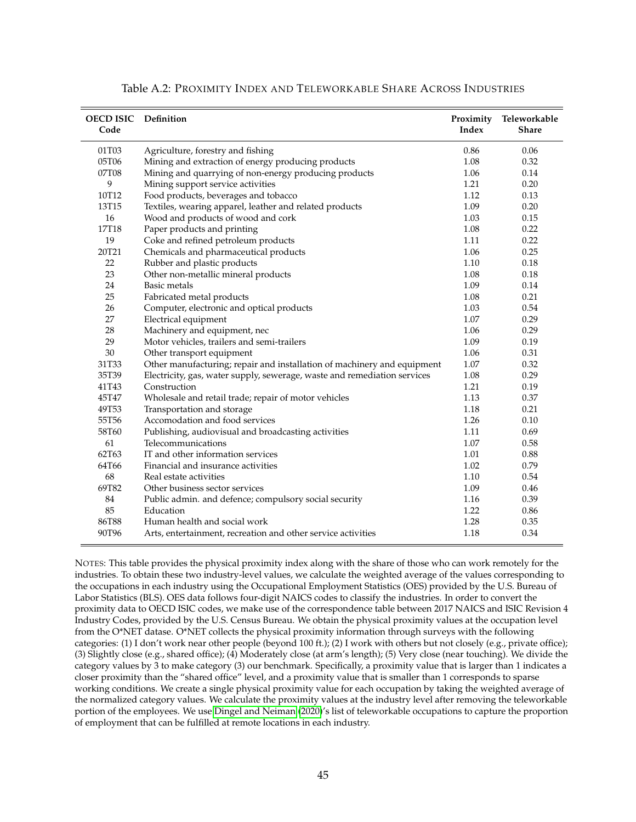<span id="page-45-0"></span>

| <b>OECD ISIC</b> Definition<br>Code |                                                                          | Proximity<br>Index | Teleworkable<br><b>Share</b> |
|-------------------------------------|--------------------------------------------------------------------------|--------------------|------------------------------|
| 01T03                               | Agriculture, forestry and fishing                                        | 0.86               | 0.06                         |
| 05T06                               | Mining and extraction of energy producing products                       | 1.08               | 0.32                         |
| 07T08                               | Mining and quarrying of non-energy producing products                    | 1.06               | 0.14                         |
| 9                                   | Mining support service activities                                        | 1.21               | 0.20                         |
| 10T12                               | Food products, beverages and tobacco                                     | 1.12               | 0.13                         |
| 13T15                               | Textiles, wearing apparel, leather and related products                  | 1.09               | 0.20                         |
| 16                                  | Wood and products of wood and cork                                       | 1.03               | 0.15                         |
| 17T18                               | Paper products and printing                                              | 1.08               | 0.22                         |
| 19                                  | Coke and refined petroleum products                                      | 1.11               | 0.22                         |
| 20T21                               | Chemicals and pharmaceutical products                                    | 1.06               | 0.25                         |
| 22                                  | Rubber and plastic products                                              | 1.10               | 0.18                         |
| 23                                  | Other non-metallic mineral products                                      | 1.08               | 0.18                         |
| 24                                  | Basic metals                                                             | 1.09               | 0.14                         |
| 25                                  | Fabricated metal products                                                | 1.08               | 0.21                         |
| 26                                  | Computer, electronic and optical products                                | 1.03               | 0.54                         |
| 27                                  | Electrical equipment                                                     | 1.07               | 0.29                         |
| 28                                  | Machinery and equipment, nec                                             | 1.06               | 0.29                         |
| 29                                  | Motor vehicles, trailers and semi-trailers                               | 1.09               | 0.19                         |
| 30                                  | Other transport equipment                                                | 1.06               | 0.31                         |
| 31T33                               | Other manufacturing; repair and installation of machinery and equipment  | 1.07               | 0.32                         |
| 35T39                               | Electricity, gas, water supply, sewerage, waste and remediation services | 1.08               | 0.29                         |
| 41T43                               | Construction                                                             | 1.21               | 0.19                         |
| 45T47                               | Wholesale and retail trade; repair of motor vehicles                     | 1.13               | 0.37                         |
| 49T53                               | Transportation and storage                                               | 1.18               | 0.21                         |
| 55T56                               | Accomodation and food services                                           | 1.26               | 0.10                         |
| 58T60                               | Publishing, audiovisual and broadcasting activities                      | 1.11               | 0.69                         |
| 61                                  | Telecommunications                                                       | 1.07               | 0.58                         |
| 62T63                               | IT and other information services                                        | 1.01               | 0.88                         |
| 64T66                               | Financial and insurance activities                                       | 1.02               | 0.79                         |
| 68                                  | Real estate activities                                                   | 1.10               | 0.54                         |
| 69T82                               | Other business sector services                                           | 1.09               | 0.46                         |
| 84                                  | Public admin. and defence; compulsory social security                    | 1.16               | 0.39                         |
| 85                                  | Education                                                                | 1.22               | 0.86                         |
| 86T88                               | Human health and social work                                             | 1.28               | 0.35                         |
| 90T96                               | Arts, entertainment, recreation and other service activities             | 1.18               | 0.34                         |

| Table A.2: PROXIMITY INDEX AND TELEWORKABLE SHARE ACROSS INDUSTRIES |  |
|---------------------------------------------------------------------|--|
|---------------------------------------------------------------------|--|

NOTES: This table provides the physical proximity index along with the share of those who can work remotely for the industries. To obtain these two industry-level values, we calculate the weighted average of the values corresponding to the occupations in each industry using the Occupational Employment Statistics (OES) provided by the U.S. Bureau of Labor Statistics (BLS). OES data follows four-digit NAICS codes to classify the industries. In order to convert the proximity data to OECD ISIC codes, we make use of the correspondence table between 2017 NAICS and ISIC Revision 4 Industry Codes, provided by the U.S. Census Bureau. We obtain the physical proximity values at the occupation level from the O\*NET datase. O\*NET collects the physical proximity information through surveys with the following categories: (1) I don't work near other people (beyond 100 ft.); (2) I work with others but not closely (e.g., private office); (3) Slightly close (e.g., shared office); (4) Moderately close (at arm's length); (5) Very close (near touching). We divide the category values by 3 to make category (3) our benchmark. Specifically, a proximity value that is larger than 1 indicates a closer proximity than the "shared office" level, and a proximity value that is smaller than 1 corresponds to sparse working conditions. We create a single physical proximity value for each occupation by taking the weighted average of the normalized category values. We calculate the proximity values at the industry level after removing the teleworkable portion of the employees. We use [Dingel and Neiman](#page-41-11) [\(2020\)](#page-41-11)'s list of teleworkable occupations to capture the proportion of employment that can be fulfilled at remote locations in each industry.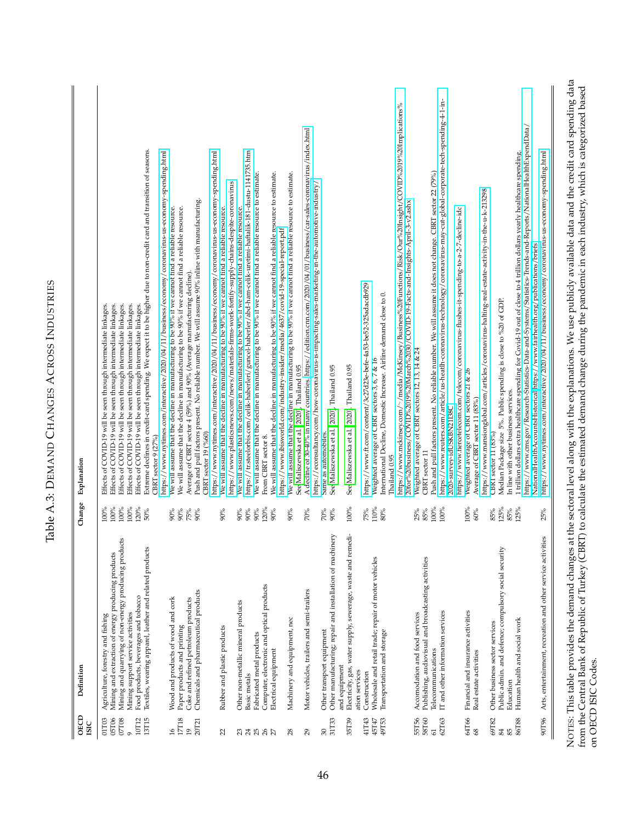<span id="page-46-0"></span>

| <b>ISIC</b>                                 |                                                                                                                                                                                                                               |                                         |                                                                                                                                                                                                                                                                                                                                             |
|---------------------------------------------|-------------------------------------------------------------------------------------------------------------------------------------------------------------------------------------------------------------------------------|-----------------------------------------|---------------------------------------------------------------------------------------------------------------------------------------------------------------------------------------------------------------------------------------------------------------------------------------------------------------------------------------------|
| 05T06<br>07T08<br>10T12<br>01T03<br>$\circ$ | Mining and quarrying of non-energy producing products<br>Mining and extraction of energy producing products<br>Food products, beverages and tobacco<br>Mining support service activities<br>Agriculture, forestry and fishing | 100%<br>$100\%$<br>100%<br>120%<br>100% | Effects of COVID-19 will be seen through intermediate linkages.<br>Effects of COVID-19 will be seen through intermediate linkages.<br>Effects of COVID-19 will be seen through intermediate linkages.<br>Effects of COVID-19 will be seen through intermediate linkages.<br>Effects of COVID-19 will be seen through intermediate linkages. |
| 13T15                                       | Textiles, wearing apparel, leather and related products                                                                                                                                                                       | 50%                                     | Extreme declines in credit-card spending. We expect it to be higher due to non-credit card and transition of seasons.<br>https://www.nytimes.com/interactive/2020/04/11/business/economy/coronavirus-us-economy-spending.html<br>CBRT sector 9 (27%)                                                                                        |
| $\frac{9}{2}$                               | Wood and products of wood and cork                                                                                                                                                                                            | $90\%$                                  | We will assume that the decline in manufacturing to be 90% if we cannot find a reliable resource.                                                                                                                                                                                                                                           |
| $17718$<br>$\overline{19}$                  | Coke and refined petroleum products<br>Paper products and printing                                                                                                                                                            | 75%<br>$90\%$                           | We will assume that the decline in manufacturing to be 90% if we cannot find a reliable resource.<br>Average of CBRT sector 4 (59%) and 90% (Average manufacturing decline).                                                                                                                                                                |
| 20T21                                       | Chemicals and pharmaceutical products                                                                                                                                                                                         | $90\%$                                  | Push and pull factors present. No reliable number. We will assume 90% inline with manufacturing.<br>CBRT sector 19 (%60)                                                                                                                                                                                                                    |
| 22                                          | Rubber and plastic products                                                                                                                                                                                                   | 90%                                     | https://www.nytimes.com/interactive/2020/04/11/business/economy/coronavirus-us-economy-spending.html<br>https://www.plasticsnews.com/news/materials-firms-work-fortify-supply-chains-despite-coronavirus<br>We will assume that the decline in manufacturing to be 90% if we cannot find a reliable resource.                               |
|                                             | Other non-metallic mineral products                                                                                                                                                                                           | 90%                                     | We will assume that the decline in manufacturing to be 90% if we cannot find a reliable resource.                                                                                                                                                                                                                                           |
| 325857                                      | Basic metals                                                                                                                                                                                                                  | 90%<br>$90\%$                           | https://tr.steelorbis.com/celik-haberleri/guncel-haberler/abd-ham-celik-uretimi-haftalik-181-dustu-1141735.htm                                                                                                                                                                                                                              |
|                                             | Computer, electronic and optical products<br>Fabricated metal products                                                                                                                                                        | 120%                                    | We will assume that the decline in manufacturing to be 90% if we cannot find a reliable resource to estimate.<br>From CBRT sector 8.                                                                                                                                                                                                        |
|                                             | Electrical equipment                                                                                                                                                                                                          | 90%                                     | We will assume that the decline in manufacturing to be 90% if we cannot find a reliable resource to estimate.<br>https://www.ibisworld.com/industry-insider/media/4637/covid-19-special-report.pdf                                                                                                                                          |
| 28                                          | Machinery and equipment, nec                                                                                                                                                                                                  | $90\%$                                  | We will assume that the decline in manufacturing to be 90% if we cannot find a reliable resource to estimate.<br>See Maliszewska et al. (2020), Thailand 0.95                                                                                                                                                                               |
| 29                                          | Motor vehicles, trailers and semi-trailers                                                                                                                                                                                    | 70%                                     | A decline of 30-40% in many countries. https://edition.cnn.com/2020/04/01/business/car-sales-coronavirus/index.html<br>https://econsultancy.com/how-coronavirus-is-impacting-sales-marketing-in-the-automotive-industry/                                                                                                                    |
| 30                                          | Other transport equipment                                                                                                                                                                                                     | 70%                                     | Same as automobiles.                                                                                                                                                                                                                                                                                                                        |
| 31T33                                       | Other manufacturing; repair and installation of machinery<br>and equipment                                                                                                                                                    | $90\%$                                  | See Maliszewska et al. (2020), Thailand 0.95                                                                                                                                                                                                                                                                                                |
| 35T39                                       | Electricity, gas, water supply, sewerage, waste and remedi-                                                                                                                                                                   | $100\%$                                 | See Maliszewska et al. (2020). Thailand 0.95                                                                                                                                                                                                                                                                                                |
| 41T43                                       | ation services<br>Construction                                                                                                                                                                                                | 75%                                     | https://www.ft.com/content/3c27d23e-befe-4a53-be52-325adacdb929                                                                                                                                                                                                                                                                             |
| 49T53<br>45T47                              | Wholesale and retail trade; repair of motor vehicles<br>Transportation and storage                                                                                                                                            | 110%<br>80%                             | International Decline, Domestic Increase. Airline demand close to 0.<br>Weighted average of CBRT sectors 3, 6, 7 & 16<br>Thailand 0.95                                                                                                                                                                                                      |
|                                             |                                                                                                                                                                                                                               |                                         | https://www.mckinsey.com/~/media/McKinsey/Business%20Functions/Risk/Our%20Insight/COVID%2019%20Implications%<br>20for%20business/COVID%2019%20March%2030/COVID-19-Facts-and-Insights-April-3-v2.ashx                                                                                                                                        |
| 55T56<br>58T60                              | Publishing, audiovisual and broadcasting activities<br>Accomodation and food services                                                                                                                                         | 25%<br>$85\%$                           | Weighted average of CBRT sectors 12, 13, 14 & 24<br>CBRT sector 17                                                                                                                                                                                                                                                                          |
| 61                                          | Telecommunications                                                                                                                                                                                                            | 100%                                    | Push and pull factors present. No reliable number. We will assume it does not change. CBRT sector 22 (79%)                                                                                                                                                                                                                                  |
| 62T63                                       | IT and other information services                                                                                                                                                                                             | 100%                                    | https://www.reuters.com/article/us-heatlh-coronavirus-technology/coronavirus-may-cut-global-corporate-tech-spending-4-1-in-<br>2020-survey-idUSKBN21I38C                                                                                                                                                                                    |
| 64T66                                       | Financial and insurance activities                                                                                                                                                                                            | 100%                                    | https://www.fiercetelecom.com/telecom/coronavirus-flushes-it-spending-to-a-2-7-decline-idc<br>Weighted average of CBRT sectors 21 & 26                                                                                                                                                                                                      |
| 68                                          | Real estate activities                                                                                                                                                                                                        | 60%                                     | Average of CBRT sector 11 (83%)                                                                                                                                                                                                                                                                                                             |
| 69T82                                       | Other business sector services                                                                                                                                                                                                | 85%                                     | https://www.mansionglobal.com/articles/coronavirus-halting-real-estate-activity-in-the-u-k-213298<br>CBRT sector 11 (83%)                                                                                                                                                                                                                   |
| 85<br>84                                    | Public admin. and defence; compulsory social security                                                                                                                                                                         | 125%<br>85%                             | Median Package size 5%. Public spending is close to %20 of GDP.<br>In line with other business services.                                                                                                                                                                                                                                    |
| 86T88                                       | Human health and social work<br>Education                                                                                                                                                                                     | 125%                                    | 1 trillion dollars extra healthcare spending for Covid-19 out of close to 4 trillion dollars yearly healthcare spending.                                                                                                                                                                                                                    |
|                                             |                                                                                                                                                                                                                               |                                         | https://www.cms.gov/Research-Statistics-Data-and-Systems/Statistics-Trends-and-Reports/NationalHealthExpendData/<br>NationalHealthAccountsHistorical https://www.fairhealth.org/publications/briefs                                                                                                                                         |
| 90T96                                       | Arts, entertainment, recreation and other service activities                                                                                                                                                                  | 25%                                     | https://www.nytimes.com/interactive/2020/04/11/business/economy/coronavirus-us-economy-spending.html                                                                                                                                                                                                                                        |

Table A.3: DEMAND CHANGES ACROSS INDUSTRIES

Table A.3: DEMAND CHANGES ACROSS INDUSTRIES

from the Central Bank of Republic of Turkey (CBRT) to calculate the estimated demand change during the pandemic in each industry, which is categorized based ó  $\tilde{\cdot}$ L,  $\overline{0}$  $\mathfrak{g}$  $\ddot{\phantom{0}}$ Ļ. on OECD ISIC Codes. on OECD ISIC Codes.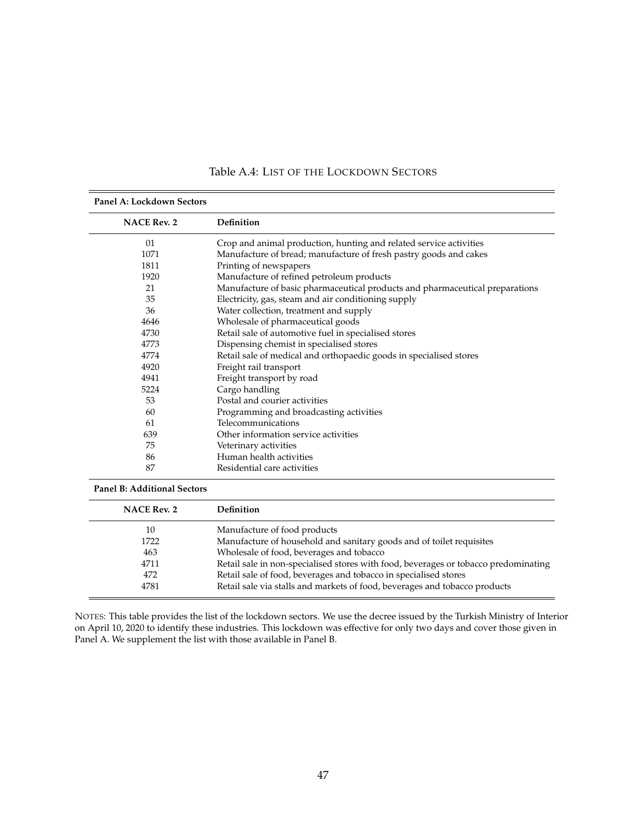<span id="page-47-0"></span>

| <b>NACE Rev. 2</b> | Definition                                                                   |
|--------------------|------------------------------------------------------------------------------|
| 01                 | Crop and animal production, hunting and related service activities           |
| 1071               | Manufacture of bread; manufacture of fresh pastry goods and cakes            |
| 1811               | Printing of newspapers                                                       |
| 1920               | Manufacture of refined petroleum products                                    |
| 21                 | Manufacture of basic pharmaceutical products and pharmaceutical preparations |
| 35                 | Electricity, gas, steam and air conditioning supply                          |
| 36                 | Water collection, treatment and supply                                       |
| 4646               | Wholesale of pharmaceutical goods                                            |
| 4730               | Retail sale of automotive fuel in specialised stores                         |
| 4773               | Dispensing chemist in specialised stores                                     |
| 4774               | Retail sale of medical and orthopaedic goods in specialised stores           |
| 4920               | Freight rail transport                                                       |
| 4941               | Freight transport by road                                                    |
| 5224               | Cargo handling                                                               |
| 53                 | Postal and courier activities                                                |
| 60                 | Programming and broadcasting activities                                      |
| 61                 | Telecommunications                                                           |
| 639                | Other information service activities                                         |
| 75                 | Veterinary activities                                                        |
| 86                 | Human health activities                                                      |
| 87                 | Residential care activities                                                  |

## Table A.4: LIST OF THE LOCKDOWN SECTORS

#### **Panel B: Additional Sectors**

| <b>NACE Rev. 2</b> | Definition                                                                          |
|--------------------|-------------------------------------------------------------------------------------|
| 10                 | Manufacture of food products                                                        |
| 1722               | Manufacture of household and sanitary goods and of toilet requisites                |
| 463                | Wholesale of food, beverages and tobacco                                            |
| 4711               | Retail sale in non-specialised stores with food, beverages or tobacco predominating |
| 472                | Retail sale of food, beverages and tobacco in specialised stores                    |
| 4781               | Retail sale via stalls and markets of food, beverages and tobacco products          |

NOTES: This table provides the list of the lockdown sectors. We use the decree issued by the Turkish Ministry of Interior on April 10, 2020 to identify these industries. This lockdown was effective for only two days and cover those given in Panel A. We supplement the list with those available in Panel B.